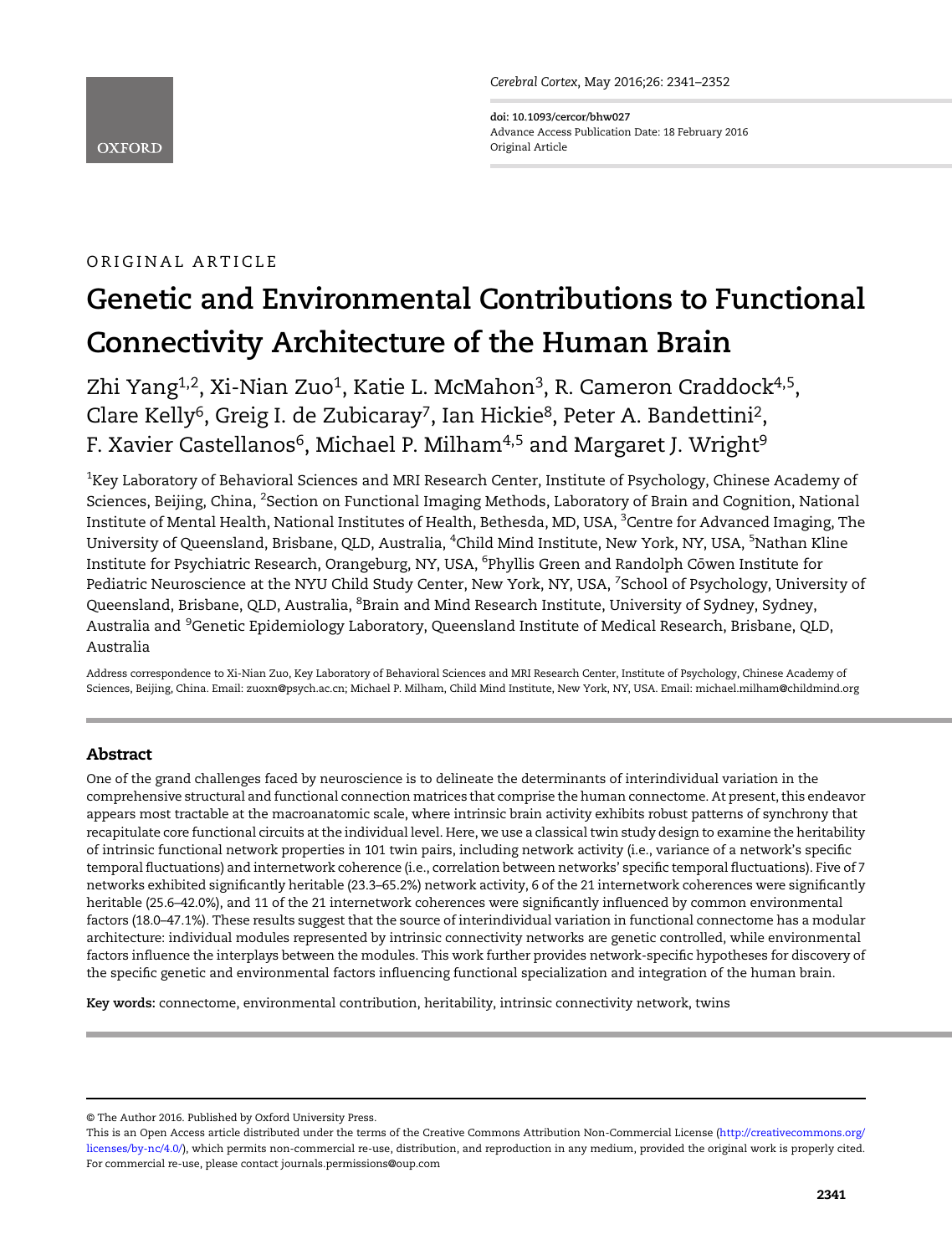Cerebral Cortex, May 2016;26: 2341–2352

doi: 10.1093/cercor/bhw027 Advance Access Publication Date: 18 February 2016 Original Article

# ORIGINAL ARTICLE

**OXFORD** 

# Genetic and Environmental Contributions to Functional Connectivity Architecture of the Human Brain

Zhi Yang<sup>1,2</sup>, Xi-Nian Zuo<sup>1</sup>, Katie L. McMahon<sup>3</sup>, R. Cameron Craddock<sup>4,5</sup>, Clare Kelly<sup>6</sup>, Greig I. de Zubicaray<sup>7</sup>, Ian Hickie<sup>8</sup>, Peter A. Bandettini<sup>2</sup>, F. Xavier Castellanos<sup>6</sup>, Michael P. Milham<sup>4,5</sup> and Margaret J. Wright<sup>9</sup>

 $^{\rm 1}$ Key Laboratory of Behavioral Sciences and MRI Research Center, Institute of Psychology, Chinese Academy of Sciences, Beijing, China, <sup>2</sup>Section on Functional Imaging Methods, Laboratory of Brain and Cognition, National Institute of Mental Health, National Institutes of Health, Bethesda, MD, USA, <sup>3</sup>Centre for Advanced Imaging, The University of Queensland, Brisbane, QLD, Australia, <sup>4</sup>Child Mind Institute, New York, NY, USA, <sup>5</sup>Nathan Kline Institute for Psychiatric Research, Orangeburg, NY, USA, <sup>6</sup>Phyllis Green and Randolph Cōwen Institute for Pediatric Neuroscience at the NYU Child Study Center, New York, NY, USA, <sup>7</sup>School of Psychology, University of Queensland, Brisbane, QLD, Australia, <sup>8</sup>Brain and Mind Research Institute, University of Sydney, Sydney, Australia and <sup>9</sup>Genetic Epidemiology Laboratory, Queensland Institute of Medical Research, Brisbane, QLD, Australia

Address correspondence to Xi-Nian Zuo, Key Laboratory of Behavioral Sciences and MRI Research Center, Institute of Psychology, Chinese Academy of Sciences, Beijing, China. Email: zuoxn@psych.ac.cn; Michael P. Milham, Child Mind Institute, New York, NY, USA. Email: michael.milham@childmind.org

## Abstract

One of the grand challenges faced by neuroscience is to delineate the determinants of interindividual variation in the comprehensive structural and functional connection matrices that comprise the human connectome. At present, this endeavor appears most tractable at the macroanatomic scale, where intrinsic brain activity exhibits robust patterns of synchrony that recapitulate core functional circuits at the individual level. Here, we use a classical twin study design to examine the heritability of intrinsic functional network properties in 101 twin pairs, including network activity (i.e., variance of a network's specific temporal fluctuations) and internetwork coherence (i.e., correlation between networks' specific temporal fluctuations). Five of 7 networks exhibited significantly heritable (23.3–65.2%) network activity, 6 of the 21 internetwork coherences were significantly heritable (25.6–42.0%), and 11 of the 21 internetwork coherences were significantly influenced by common environmental factors (18.0–47.1%). These results suggest that the source of interindividual variation in functional connectome has a modular architecture: individual modules represented by intrinsic connectivity networks are genetic controlled, while environmental factors influence the interplays between the modules. This work further provides network-specific hypotheses for discovery of the specific genetic and environmental factors influencing functional specialization and integration of the human brain.

Key words: connectome, environmental contribution, heritability, intrinsic connectivity network, twins

<sup>©</sup> The Author 2016. Published by Oxford University Press.

This is an Open Access article distributed under the terms of the Creative Commons Attribution Non-Commercial License ([http://creativecommons.org/](http://creativecommons.org/licenses/by-nc/4.0/) [licenses/by-nc/4.0/\)](http://creativecommons.org/licenses/by-nc/4.0/), which permits non-commercial re-use, distribution, and reproduction in any medium, provided the original work is properly cited. For commercial re-use, please contact journals.permissions@oup.com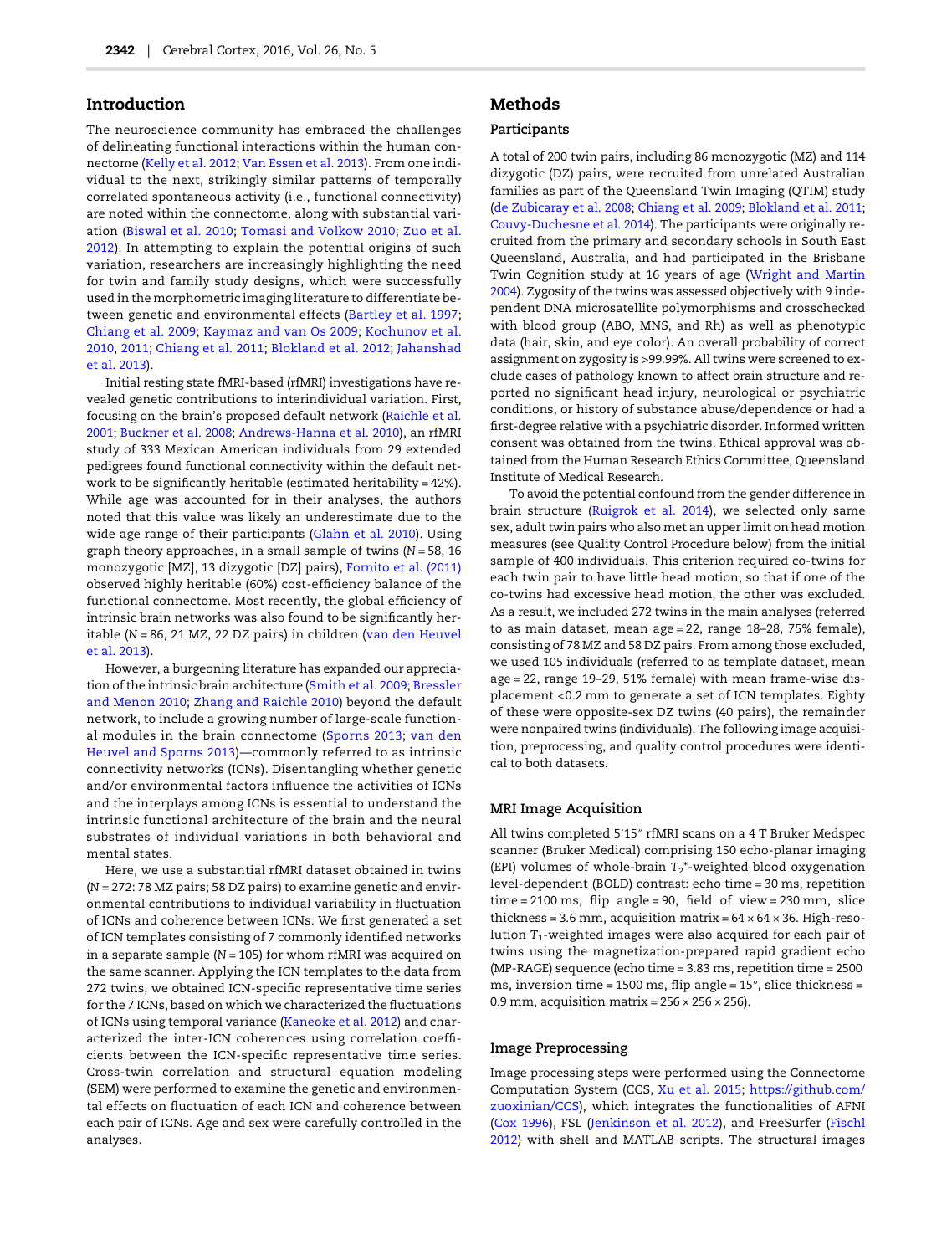## Introduction

The neuroscience community has embraced the challenges of delineating functional interactions within the human connectome ([Kelly et al. 2012](#page-10-0); [Van Essen et al. 2013](#page-11-0)). From one individual to the next, strikingly similar patterns of temporally correlated spontaneous activity (i.e., functional connectivity) are noted within the connectome, along with substantial variation ([Biswal et al. 2010;](#page-9-0) [Tomasi and Volkow 2010;](#page-11-0) [Zuo et al.](#page-11-0) [2012](#page-11-0)). In attempting to explain the potential origins of such variation, researchers are increasingly highlighting the need for twin and family study designs, which were successfully used in the morphometric imaging literature to differentiate between genetic and environmental effects ([Bartley et al. 1997;](#page-9-0) [Chiang et al. 2009](#page-9-0); [Kaymaz and van Os 2009](#page-10-0); [Kochunov et al.](#page-10-0) [2010](#page-10-0), [2011;](#page-10-0) [Chiang et al. 2011;](#page-9-0) [Blokland et al. 2012](#page-9-0); [Jahanshad](#page-10-0) [et al. 2013](#page-10-0)).

Initial resting state fMRI-based (rfMRI) investigations have revealed genetic contributions to interindividual variation. First, focusing on the brain's proposed default network ([Raichle et al.](#page-11-0) [2001;](#page-11-0) [Buckner et al. 2008;](#page-9-0) [Andrews-Hanna et al. 2010](#page-9-0)), an rfMRI study of 333 Mexican American individuals from 29 extended pedigrees found functional connectivity within the default network to be significantly heritable (estimated heritability = 42%). While age was accounted for in their analyses, the authors noted that this value was likely an underestimate due to the wide age range of their participants [\(Glahn et al. 2010](#page-10-0)). Using graph theory approaches, in a small sample of twins  $(N = 58, 16)$ monozygotic [MZ], 13 dizygotic [DZ] pairs), [Fornito et al. \(2011\)](#page-9-0) observed highly heritable (60%) cost-efficiency balance of the functional connectome. Most recently, the global efficiency of intrinsic brain networks was also found to be significantly heritable (N = 86, 21 MZ, 22 DZ pairs) in children ([van den Heuvel](#page-11-0) [et al. 2013](#page-11-0)).

However, a burgeoning literature has expanded our appreciation of the intrinsic brain architecture ([Smith et al. 2009](#page-11-0); [Bressler](#page-9-0) [and Menon 2010;](#page-9-0) [Zhang and Raichle 2010\)](#page-11-0) beyond the default network, to include a growing number of large-scale functional modules in the brain connectome ([Sporns 2013](#page-11-0); [van den](#page-11-0) [Heuvel and Sporns 2013\)](#page-11-0)—commonly referred to as intrinsic connectivity networks (ICNs). Disentangling whether genetic and/or environmental factors influence the activities of ICNs and the interplays among ICNs is essential to understand the intrinsic functional architecture of the brain and the neural substrates of individual variations in both behavioral and mental states.

Here, we use a substantial rfMRI dataset obtained in twins (N = 272: 78 MZ pairs; 58 DZ pairs) to examine genetic and environmental contributions to individual variability in fluctuation of ICNs and coherence between ICNs. We first generated a set of ICN templates consisting of 7 commonly identified networks in a separate sample ( $N = 105$ ) for whom rfMRI was acquired on the same scanner. Applying the ICN templates to the data from 272 twins, we obtained ICN-specific representative time series for the 7 ICNs, based on which we characterized the fluctuations of ICNs using temporal variance [\(Kaneoke et al. 2012\)](#page-10-0) and characterized the inter-ICN coherences using correlation coefficients between the ICN-specific representative time series. Cross-twin correlation and structural equation modeling (SEM) were performed to examine the genetic and environmental effects on fluctuation of each ICN and coherence between each pair of ICNs. Age and sex were carefully controlled in the analyses.

# Methods

## Participants

A total of 200 twin pairs, including 86 monozygotic (MZ) and 114 dizygotic (DZ) pairs, were recruited from unrelated Australian families as part of the Queensland Twin Imaging (QTIM) study [\(de Zubicaray et al. 2008;](#page-9-0) [Chiang et al. 2009;](#page-9-0) [Blokland et al. 2011;](#page-9-0) [Couvy-Duchesne et al. 2014\)](#page-9-0). The participants were originally recruited from the primary and secondary schools in South East Queensland, Australia, and had participated in the Brisbane Twin Cognition study at 16 years of age ([Wright and Martin](#page-11-0) [2004\)](#page-11-0). Zygosity of the twins was assessed objectively with 9 independent DNA microsatellite polymorphisms and crosschecked with blood group (ABO, MNS, and Rh) as well as phenotypic data (hair, skin, and eye color). An overall probability of correct assignment on zygosity is >99.99%. All twins were screened to exclude cases of pathology known to affect brain structure and reported no significant head injury, neurological or psychiatric conditions, or history of substance abuse/dependence or had a first-degree relative with a psychiatric disorder. Informed written consent was obtained from the twins. Ethical approval was obtained from the Human Research Ethics Committee, Queensland Institute of Medical Research.

To avoid the potential confound from the gender difference in brain structure ([Ruigrok et al. 2014\)](#page-11-0), we selected only same sex, adult twin pairs who also met an upper limit on head motion measures (see Quality Control Procedure below) from the initial sample of 400 individuals. This criterion required co-twins for each twin pair to have little head motion, so that if one of the co-twins had excessive head motion, the other was excluded. As a result, we included 272 twins in the main analyses (referred to as main dataset, mean age = 22, range 18–28, 75% female), consisting of 78 MZ and 58 DZ pairs. From among those excluded, we used 105 individuals (referred to as template dataset, mean age = 22, range 19–29, 51% female) with mean frame-wise displacement <0.2 mm to generate a set of ICN templates. Eighty of these were opposite-sex DZ twins (40 pairs), the remainder were nonpaired twins (individuals). The following image acquisition, preprocessing, and quality control procedures were identical to both datasets.

#### MRI Image Acquisition

All twins completed 5′15″ rfMRI scans on a 4 T Bruker Medspec scanner (Bruker Medical) comprising 150 echo-planar imaging (EPI) volumes of whole-brain  $T_2^*$ -weighted blood oxygenation level-dependent (BOLD) contrast: echo time = 30 ms, repetition time = 2100 ms, flip angle = 90, field of view = 230 mm, slice thickness = 3.6 mm, acquisition matrix =  $64 \times 64 \times 36$ . High-resolution  $T_1$ -weighted images were also acquired for each pair of twins using the magnetization-prepared rapid gradient echo (MP-RAGE) sequence (echo time = 3.83 ms, repetition time = 2500 ms, inversion time = 1500 ms, flip angle = 15°, slice thickness = 0.9 mm, acquisition matrix =  $256 \times 256 \times 256$ ).

#### Image Preprocessing

Image processing steps were performed using the Connectome Computation System (CCS, [Xu et al. 2015;](#page-11-0) [https://github.com/](https://github.com/zuoxinian/CCS) [zuoxinian/CCS](https://github.com/zuoxinian/CCS)), which integrates the functionalities of AFNI [\(Cox 1996\)](#page-9-0), FSL ([Jenkinson et al. 2012\)](#page-10-0), and FreeSurfer ([Fischl](#page-9-0) [2012\)](#page-9-0) with shell and MATLAB scripts. The structural images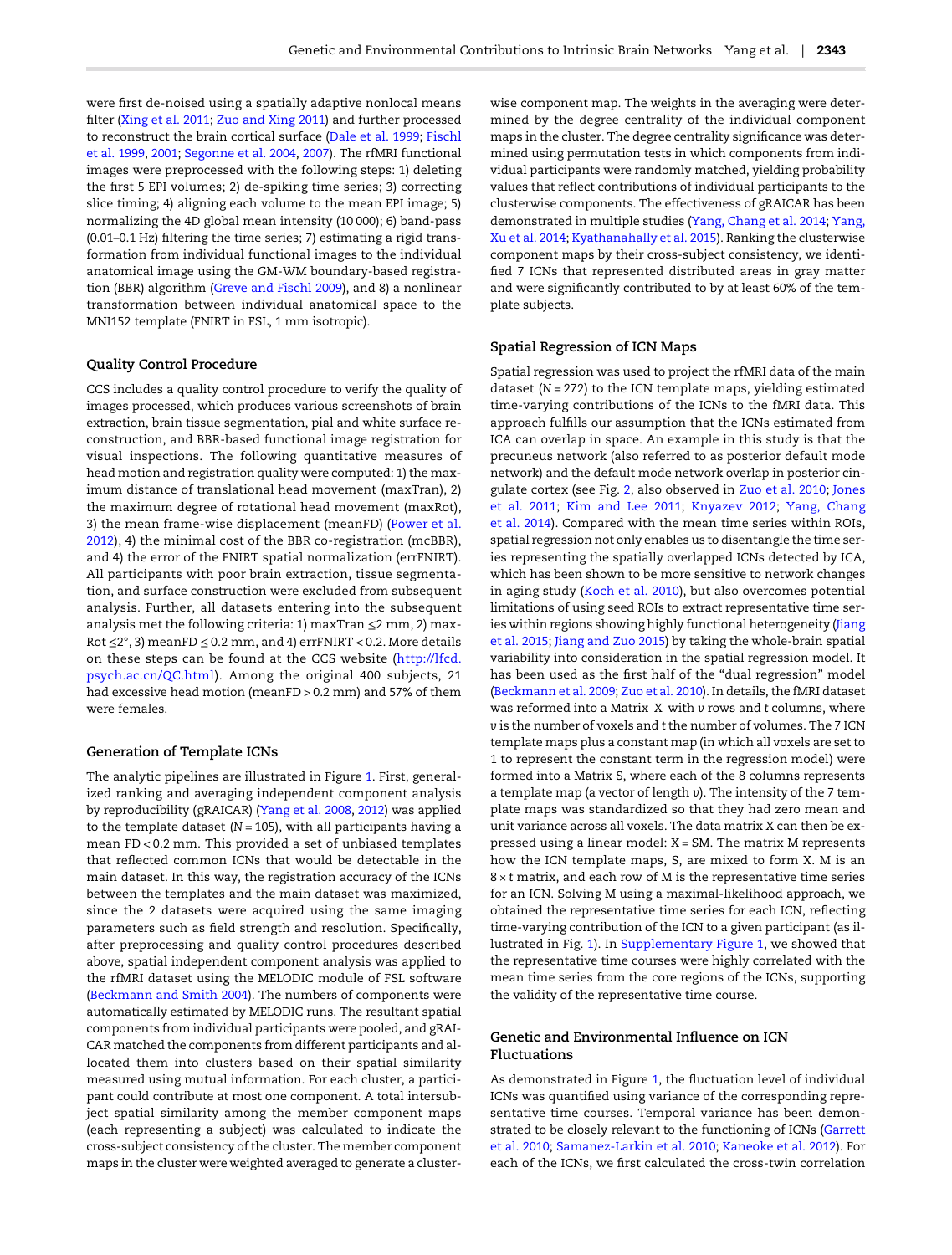were first de-noised using a spatially adaptive nonlocal means filter ([Xing et al. 2011;](#page-11-0) [Zuo and Xing 2011\)](#page-11-0) and further processed to reconstruct the brain cortical surface ([Dale et al. 1999;](#page-9-0) [Fischl](#page-9-0) [et al. 1999](#page-9-0), [2001;](#page-9-0) [Segonne et al. 2004,](#page-11-0) [2007](#page-11-0)). The rfMRI functional images were preprocessed with the following steps: 1) deleting the first 5 EPI volumes; 2) de-spiking time series; 3) correcting slice timing; 4) aligning each volume to the mean EPI image; 5) normalizing the 4D global mean intensity (10 000); 6) band-pass (0.01–0.1 Hz) filtering the time series; 7) estimating a rigid transformation from individual functional images to the individual anatomical image using the GM-WM boundary-based registration (BBR) algorithm [\(Greve and Fischl 2009\)](#page-10-0), and 8) a nonlinear transformation between individual anatomical space to the MNI152 template (FNIRT in FSL, 1 mm isotropic).

## Quality Control Procedure

CCS includes a quality control procedure to verify the quality of images processed, which produces various screenshots of brain extraction, brain tissue segmentation, pial and white surface reconstruction, and BBR-based functional image registration for visual inspections. The following quantitative measures of head motion and registration quality were computed: 1) the maximum distance of translational head movement (maxTran), 2) the maximum degree of rotational head movement (maxRot), 3) the mean frame-wise displacement (meanFD) ([Power et al.](#page-11-0) [2012](#page-11-0)), 4) the minimal cost of the BBR co-registration (mcBBR), and 4) the error of the FNIRT spatial normalization (errFNIRT). All participants with poor brain extraction, tissue segmentation, and surface construction were excluded from subsequent analysis. Further, all datasets entering into the subsequent analysis met the following criteria: 1) maxTran ≤2 mm, 2) max-Rot ≤2°, 3) meanFD ≤ 0.2 mm, and 4) errFNIRT < 0.2. More details on these steps can be found at the CCS website ([http://lfcd.](http://lfcd.psych.ac.cn/QC.html) [psych.ac.cn/QC.html](http://lfcd.psych.ac.cn/QC.html)). Among the original 400 subjects, 21 had excessive head motion (meanFD > 0.2 mm) and 57% of them were females.

## Generation of Template ICNs

The analytic pipelines are illustrated in Figure [1](#page-3-0). First, generalized ranking and averaging independent component analysis by reproducibility (gRAICAR) [\(Yang et al. 2008](#page-11-0), [2012\)](#page-11-0) was applied to the template dataset ( $N = 105$ ), with all participants having a mean FD < 0.2 mm. This provided a set of unbiased templates that reflected common ICNs that would be detectable in the main dataset. In this way, the registration accuracy of the ICNs between the templates and the main dataset was maximized, since the 2 datasets were acquired using the same imaging parameters such as field strength and resolution. Specifically, after preprocessing and quality control procedures described above, spatial independent component analysis was applied to the rfMRI dataset using the MELODIC module of FSL software [\(Beckmann and Smith 2004\)](#page-9-0). The numbers of components were automatically estimated by MELODIC runs. The resultant spatial components from individual participants were pooled, and gRAI-CAR matched the components from different participants and allocated them into clusters based on their spatial similarity measured using mutual information. For each cluster, a participant could contribute at most one component. A total intersubject spatial similarity among the member component maps (each representing a subject) was calculated to indicate the cross-subject consistency of the cluster. The member component maps in the cluster were weighted averaged to generate a clusterwise component map. The weights in the averaging were determined by the degree centrality of the individual component maps in the cluster. The degree centrality significance was determined using permutation tests in which components from individual participants were randomly matched, yielding probability values that reflect contributions of individual participants to the clusterwise components. The effectiveness of gRAICAR has been demonstrated in multiple studies [\(Yang, Chang et al. 2014](#page-11-0); [Yang,](#page-11-0) [Xu et al. 2014](#page-11-0); [Kyathanahally et al. 2015](#page-10-0)). Ranking the clusterwise component maps by their cross-subject consistency, we identified 7 ICNs that represented distributed areas in gray matter and were significantly contributed to by at least 60% of the template subjects.

## Spatial Regression of ICN Maps

Spatial regression was used to project the rfMRI data of the main dataset ( $N = 272$ ) to the ICN template maps, yielding estimated time-varying contributions of the ICNs to the fMRI data. This approach fulfills our assumption that the ICNs estimated from ICA can overlap in space. An example in this study is that the precuneus network (also referred to as posterior default mode network) and the default mode network overlap in posterior cingulate cortex (see Fig. [2](#page-4-0), also observed in [Zuo et al. 2010](#page-11-0); [Jones](#page-10-0) [et al. 2011](#page-10-0); [Kim and Lee 2011](#page-10-0); [Knyazev 2012](#page-10-0); [Yang, Chang](#page-11-0) [et al. 2014\)](#page-11-0). Compared with the mean time series within ROIs, spatial regression not only enables us to disentangle the time series representing the spatially overlapped ICNs detected by ICA, which has been shown to be more sensitive to network changes in aging study [\(Koch et al. 2010\)](#page-10-0), but also overcomes potential limitations of using seed ROIs to extract representative time ser-ies within regions showing highly functional heterogeneity ([Jiang](#page-10-0) [et al. 2015](#page-10-0); [Jiang and Zuo 2015](#page-10-0)) by taking the whole-brain spatial variability into consideration in the spatial regression model. It has been used as the first half of the "dual regression" model [\(Beckmann et al. 2009;](#page-9-0) [Zuo et al. 2010](#page-11-0)). In details, the fMRI dataset was reformed into a Matrix X with v rows and t columns, where v is the number of voxels and t the number of volumes. The 7 ICN template maps plus a constant map (in which all voxels are set to 1 to represent the constant term in the regression model) were formed into a Matrix S, where each of the 8 columns represents a template map (a vector of length v). The intensity of the 7 template maps was standardized so that they had zero mean and unit variance across all voxels. The data matrix X can then be expressed using a linear model: X = SM. The matrix M represents how the ICN template maps, S, are mixed to form X. M is an  $8 \times t$  matrix, and each row of M is the representative time series for an ICN. Solving M using a maximal-likelihood approach, we obtained the representative time series for each ICN, reflecting time-varying contribution of the ICN to a given participant (as illustrated in Fig. [1\)](#page-3-0). In [Supplementary Figure 1,](http://cercor.oxfordjournals.org/lookup/suppl/doi:10.1093/cercor/bhw027/-/DC1) we showed that the representative time courses were highly correlated with the mean time series from the core regions of the ICNs, supporting the validity of the representative time course.

## Genetic and Environmental Influence on ICN Fluctuations

As demonstrated in Figure [1,](#page-3-0) the fluctuation level of individual ICNs was quantified using variance of the corresponding representative time courses. Temporal variance has been demonstrated to be closely relevant to the functioning of ICNs [\(Garrett](#page-10-0) [et al. 2010;](#page-10-0) [Samanez-Larkin et al. 2010;](#page-11-0) [Kaneoke et al. 2012\)](#page-10-0). For each of the ICNs, we first calculated the cross-twin correlation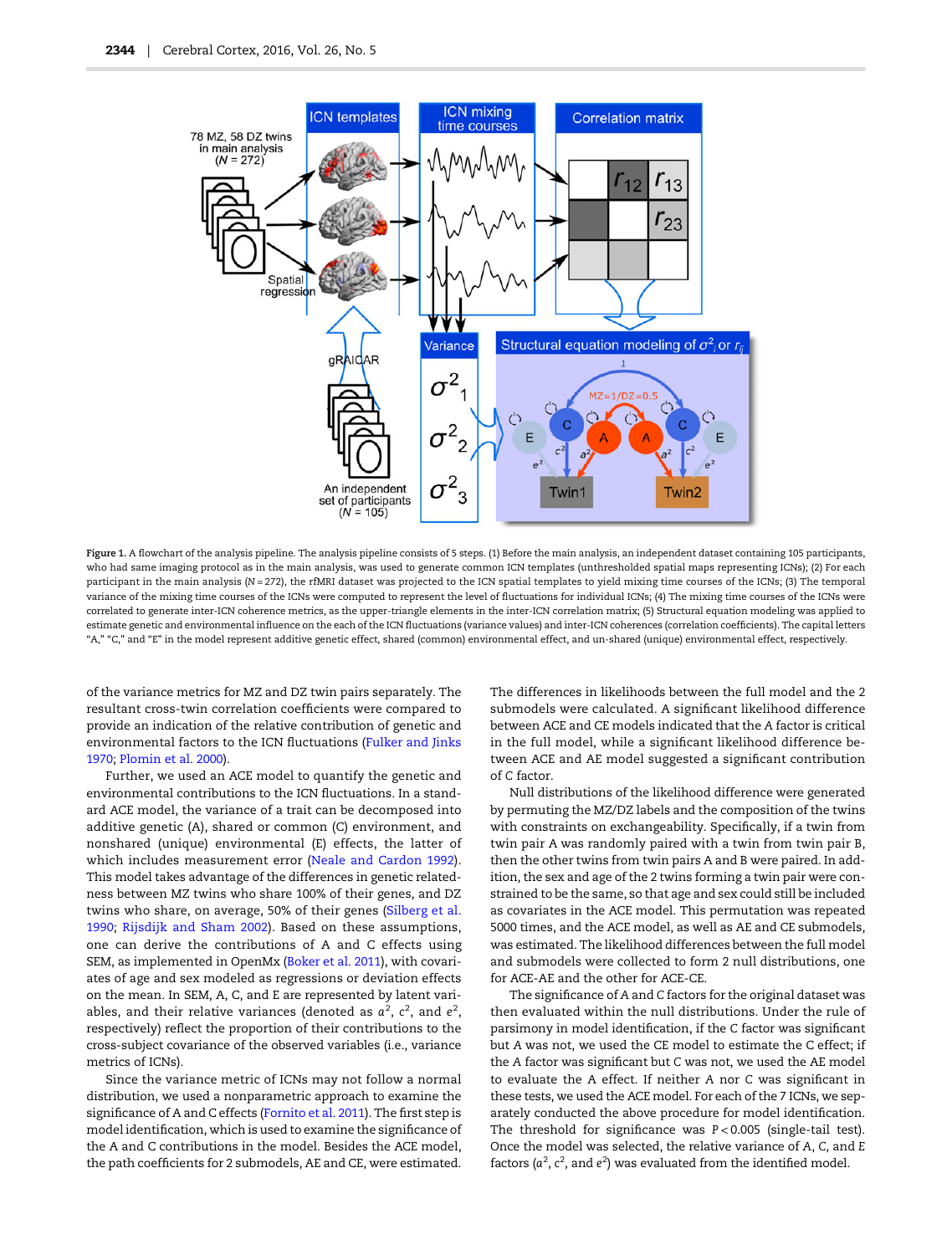<span id="page-3-0"></span>

Figure 1. A flowchart of the analysis pipeline. The analysis pipeline consists of 5 steps. (1) Before the main analysis, an independent dataset containing 105 participants, who had same imaging protocol as in the main analysis, was used to generate common ICN templates (unthresholded spatial maps representing ICNs); (2) For each participant in the main analysis (N = 272), the rfMRI dataset was projected to the ICN spatial templates to yield mixing time courses of the ICNs; (3) The temporal variance of the mixing time courses of the ICNs were computed to represent the level of fluctuations for individual ICNs; (4) The mixing time courses of the ICNs were correlated to generate inter-ICN coherence metrics, as the upper-triangle elements in the inter-ICN correlation matrix; (5) Structural equation modeling was applied to estimate genetic and environmental influence on the each of the ICN fluctuations (variance values) and inter-ICN coherences (correlation coefficients). The capital letters "A," "C," and "E" in the model represent additive genetic effect, shared (common) environmental effect, and un-shared (unique) environmental effect, respectively.

of the variance metrics for MZ and DZ twin pairs separately. The resultant cross-twin correlation coefficients were compared to provide an indication of the relative contribution of genetic and environmental factors to the ICN fluctuations [\(Fulker and Jinks](#page-9-0) [1970;](#page-9-0) [Plomin et al. 2000](#page-11-0)).

Further, we used an ACE model to quantify the genetic and environmental contributions to the ICN fluctuations. In a standard ACE model, the variance of a trait can be decomposed into additive genetic (A), shared or common (C) environment, and nonshared (unique) environmental (E) effects, the latter of which includes measurement error [\(Neale and Cardon 1992](#page-10-0)). This model takes advantage of the differences in genetic relatedness between MZ twins who share 100% of their genes, and DZ twins who share, on average, 50% of their genes [\(Silberg et al.](#page-11-0) [1990;](#page-11-0) [Rijsdijk and Sham 2002](#page-11-0)). Based on these assumptions, one can derive the contributions of A and C effects using SEM, as implemented in OpenMx [\(Boker et al. 2011\)](#page-9-0), with covariates of age and sex modeled as regressions or deviation effects on the mean. In SEM, A, C, and E are represented by latent variables, and their relative variances (denoted as  $a^2$ ,  $c^2$ , and  $e^2$ , respectively) reflect the proportion of their contributions to the cross-subject covariance of the observed variables (i.e., variance metrics of ICNs).

Since the variance metric of ICNs may not follow a normal distribution, we used a nonparametric approach to examine the significance of A and C effects ([Fornito et al. 2011\)](#page-9-0). The first step is model identification, which is used to examine the significance of the A and C contributions in the model. Besides the ACE model, the path coefficients for 2 submodels, AE and CE, were estimated.

The differences in likelihoods between the full model and the 2 submodels were calculated. A significant likelihood difference between ACE and CE models indicated that the A factor is critical in the full model, while a significant likelihood difference between ACE and AE model suggested a significant contribution of C factor.

Null distributions of the likelihood difference were generated by permuting the MZ/DZ labels and the composition of the twins with constraints on exchangeability. Specifically, if a twin from twin pair A was randomly paired with a twin from twin pair B, then the other twins from twin pairs A and B were paired. In addition, the sex and age of the 2 twins forming a twin pair were constrained to be the same, so that age and sex could still be included as covariates in the ACE model. This permutation was repeated 5000 times, and the ACE model, as well as AE and CE submodels, was estimated. The likelihood differences between the full model and submodels were collected to form 2 null distributions, one for ACE-AE and the other for ACE-CE.

The significance of A and C factors for the original dataset was then evaluated within the null distributions. Under the rule of parsimony in model identification, if the C factor was significant but A was not, we used the CE model to estimate the C effect; if the A factor was significant but C was not, we used the AE model to evaluate the A effect. If neither A nor C was significant in these tests, we used the ACE model. For each of the 7 ICNs, we separately conducted the above procedure for model identification. The threshold for significance was P < 0.005 (single-tail test). Once the model was selected, the relative variance of A, C, and E factors ( $a^2$ ,  $c^2$ , and  $e^2$ ) was evaluated from the identified model.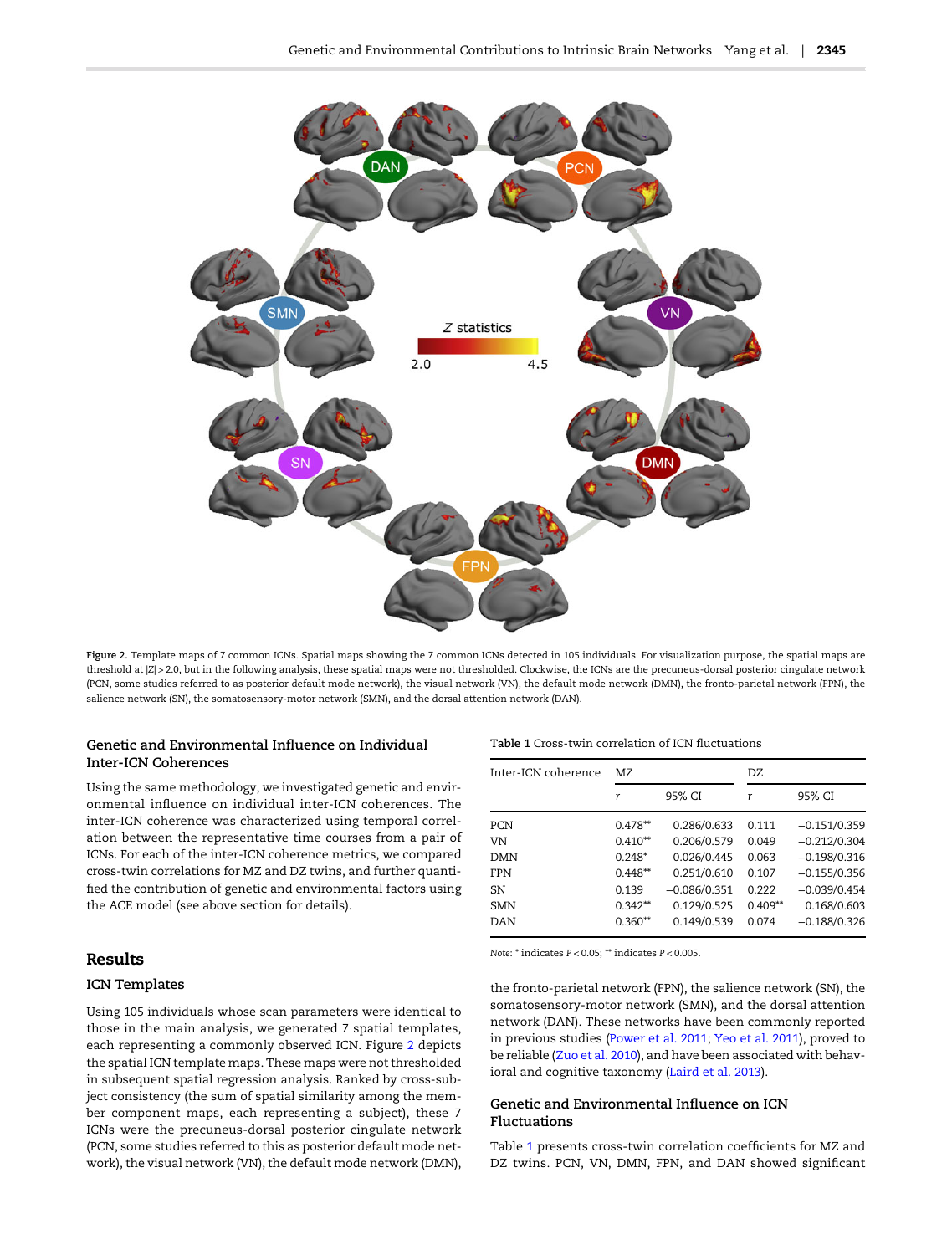<span id="page-4-0"></span>

Figure 2. Template maps of 7 common ICNs. Spatial maps showing the 7 common ICNs detected in 105 individuals. For visualization purpose, the spatial maps are threshold at |Z| > 2.0, but in the following analysis, these spatial maps were not thresholded. Clockwise, the ICNs are the precuneus-dorsal posterior cingulate network (PCN, some studies referred to as posterior default mode network), the visual network (VN), the default mode network (DMN), the fronto-parietal network (FPN), the salience network (SN), the somatosensory-motor network (SMN), and the dorsal attention network (DAN).

## Genetic and Environmental Influence on Individual Inter-ICN Coherences

Using the same methodology, we investigated genetic and environmental influence on individual inter-ICN coherences. The inter-ICN coherence was characterized using temporal correlation between the representative time courses from a pair of ICNs. For each of the inter-ICN coherence metrics, we compared cross-twin correlations for MZ and DZ twins, and further quantified the contribution of genetic and environmental factors using the ACE model (see above section for details).

## Results

## ICN Templates

Using 105 individuals whose scan parameters were identical to those in the main analysis, we generated 7 spatial templates, each representing a commonly observed ICN. Figure 2 depicts the spatial ICN template maps. These maps were not thresholded in subsequent spatial regression analysis. Ranked by cross-subject consistency (the sum of spatial similarity among the member component maps, each representing a subject), these 7 ICNs were the precuneus-dorsal posterior cingulate network (PCN, some studies referred to this as posterior default mode network), the visual network (VN), the default mode network (DMN),

#### Table 1 Cross-twin correlation of ICN fluctuations

| Inter-ICN coherence | MZ.       |                | DZ        |                |  |
|---------------------|-----------|----------------|-----------|----------------|--|
|                     | r         | 95% CI         | r         | 95% CI         |  |
| PCN                 | $0.478**$ | 0.286/0.633    | 0.111     | $-0.151/0.359$ |  |
| VN                  | $0.410**$ | 0.206/0.579    | 0.049     | $-0.212/0.304$ |  |
| DMN                 | $0.248*$  | 0.026/0.445    | 0.063     | $-0.198/0.316$ |  |
| <b>FPN</b>          | $0.448**$ | 0.251/0.610    | 0.107     | $-0.155/0.356$ |  |
| SN                  | 0.139     | $-0.086/0.351$ | 0.222     | $-0.039/0.454$ |  |
| <b>SMN</b>          | $0.342**$ | 0.129/0.525    | $0.409**$ | 0.168/0.603    |  |
| DAN                 | $0.360**$ | 0.149/0.539    | 0.074     | $-0.188/0.326$ |  |

Note: \* indicates P < 0.05; \*\* indicates P < 0.005.

the fronto-parietal network (FPN), the salience network (SN), the somatosensory-motor network (SMN), and the dorsal attention network (DAN). These networks have been commonly reported in previous studies [\(Power et al. 2011](#page-11-0); [Yeo et al. 2011\)](#page-11-0), proved to be reliable ([Zuo et al. 2010\)](#page-11-0), and have been associated with behavioral and cognitive taxonomy ([Laird et al. 2013\)](#page-10-0).

## Genetic and Environmental Influence on ICN Fluctuations

Table 1 presents cross-twin correlation coefficients for MZ and DZ twins. PCN, VN, DMN, FPN, and DAN showed significant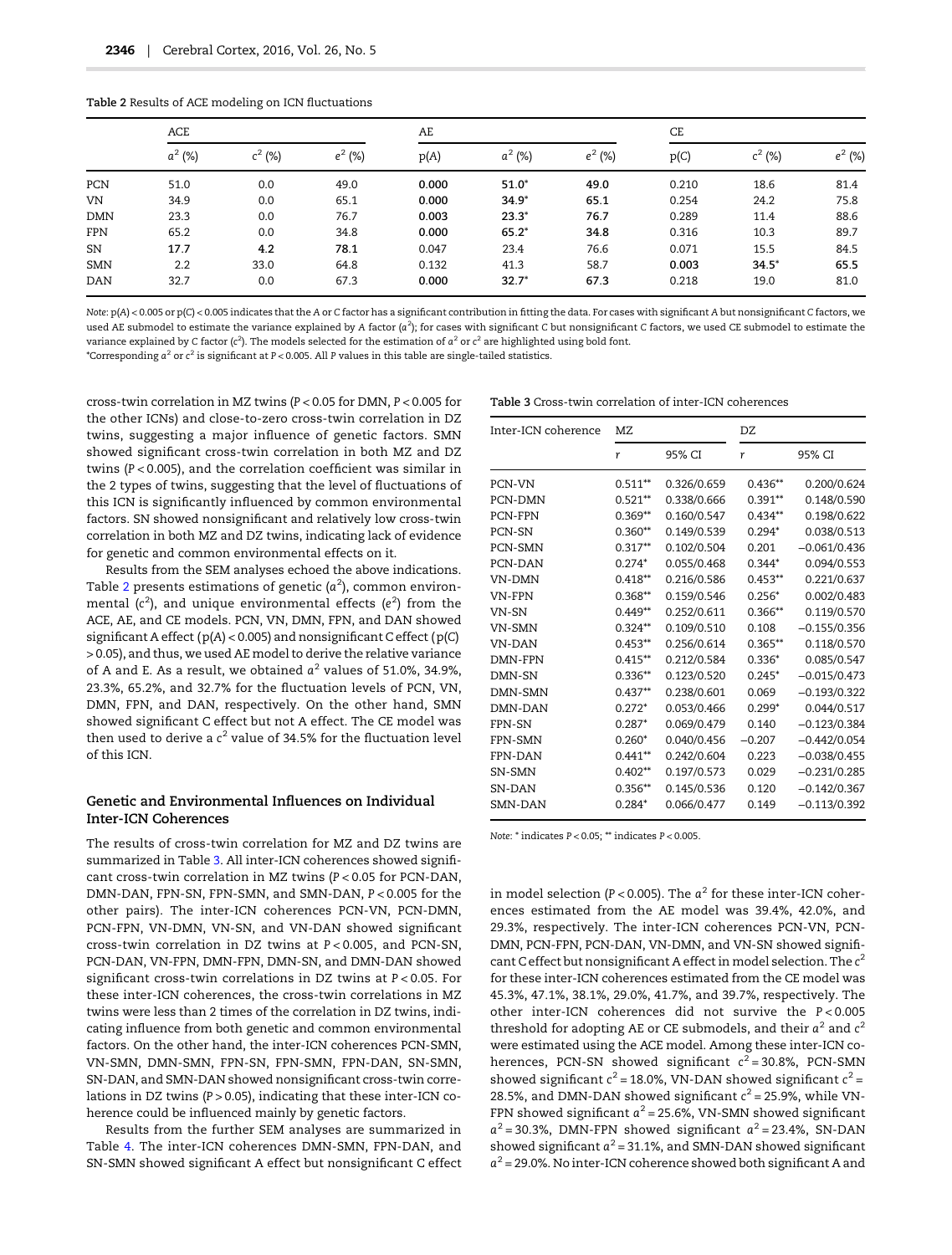|            | ACE       |           |           | AE    |           |           | CE    |           |           |
|------------|-----------|-----------|-----------|-------|-----------|-----------|-------|-----------|-----------|
|            | $a^2$ (%) | $c^2$ (%) | $e^2$ (%) | p(A)  | $a^2$ (%) | $e^2$ (%) | p(C)  | $c^2$ (%) | $e^2$ (%) |
| PCN        | 51.0      | 0.0       | 49.0      | 0.000 | $51.0*$   | 49.0      | 0.210 | 18.6      | 81.4      |
| VN.        | 34.9      | 0.0       | 65.1      | 0.000 | $34.9*$   | 65.1      | 0.254 | 24.2      | 75.8      |
| <b>DMN</b> | 23.3      | 0.0       | 76.7      | 0.003 | $23.3*$   | 76.7      | 0.289 | 11.4      | 88.6      |
| <b>FPN</b> | 65.2      | 0.0       | 34.8      | 0.000 | $65.2*$   | 34.8      | 0.316 | 10.3      | 89.7      |
| SN         | 17.7      | 4.2       | 78.1      | 0.047 | 23.4      | 76.6      | 0.071 | 15.5      | 84.5      |
| <b>SMN</b> | 2.2       | 33.0      | 64.8      | 0.132 | 41.3      | 58.7      | 0.003 | $34.5*$   | 65.5      |
| <b>DAN</b> | 32.7      | 0.0       | 67.3      | 0.000 | $32.7*$   | 67.3      | 0.218 | 19.0      | 81.0      |

<span id="page-5-0"></span>Table 2 Results of ACE modeling on ICN fluctuations

Note: p(A) < 0.005 or p(C) < 0.005 indicates that the A or C factor has a significant contribution in fitting the data. For cases with significant A but nonsignificant C factors, we used AE submodel to estimate the variance explained by A factor ( $a^2$ ); for cases with significant C but nonsignificant C factors, we used CE submodel to estimate the variance explained by C factor (c<sup>2</sup>). The models selected for the estimation of  $a^2$  or c<sup>2</sup> are highlighted using bold font. \*Corresponding  $a^2$  or  $c^2$  is significant at P < 0.005. All P values in this table are single-tailed statistics.

cross-twin correlation in MZ twins (P < 0.05 for DMN, P < 0.005 for the other ICNs) and close-to-zero cross-twin correlation in DZ twins, suggesting a major influence of genetic factors. SMN showed significant cross-twin correlation in both MZ and DZ twins (P < 0.005), and the correlation coefficient was similar in the 2 types of twins, suggesting that the level of fluctuations of this ICN is significantly influenced by common environmental factors. SN showed nonsignificant and relatively low cross-twin correlation in both MZ and DZ twins, indicating lack of evidence for genetic and common environmental effects on it.

Results from the SEM analyses echoed the above indications. Table 2 presents estimations of genetic ( $a^2$ ), common environmental (c<sup>2</sup>), and unique environmental effects (e<sup>2</sup>) from the ACE, AE, and CE models. PCN, VN, DMN, FPN, and DAN showed significant A effect (p(A) < 0.005) and nonsignificant C effect (p(C) > 0.05), and thus, we used AE model to derive the relative variance of A and E. As a result, we obtained  $a^2$  values of 51.0%, 34.9%, 23.3%, 65.2%, and 32.7% for the fluctuation levels of PCN, VN, DMN, FPN, and DAN, respectively. On the other hand, SMN showed significant C effect but not A effect. The CE model was then used to derive a  $c^2$  value of 34.5% for the fluctuation level of this ICN.

## Genetic and Environmental Influences on Individual Inter-ICN Coherences

The results of cross-twin correlation for MZ and DZ twins are summarized in Table 3. All inter-ICN coherences showed significant cross-twin correlation in MZ twins (P < 0.05 for PCN-DAN, DMN-DAN, FPN-SN, FPN-SMN, and SMN-DAN, P < 0.005 for the other pairs). The inter-ICN coherences PCN-VN, PCN-DMN, PCN-FPN, VN-DMN, VN-SN, and VN-DAN showed significant cross-twin correlation in DZ twins at P < 0.005, and PCN-SN, PCN-DAN, VN-FPN, DMN-FPN, DMN-SN, and DMN-DAN showed significant cross-twin correlations in DZ twins at P < 0.05. For these inter-ICN coherences, the cross-twin correlations in MZ twins were less than 2 times of the correlation in DZ twins, indicating influence from both genetic and common environmental factors. On the other hand, the inter-ICN coherences PCN-SMN, VN-SMN, DMN-SMN, FPN-SN, FPN-SMN, FPN-DAN, SN-SMN, SN-DAN, and SMN-DAN showed nonsignificant cross-twin correlations in DZ twins  $(P > 0.05)$ , indicating that these inter-ICN coherence could be influenced mainly by genetic factors.

Results from the further SEM analyses are summarized in Table [4.](#page-6-0) The inter-ICN coherences DMN-SMN, FPN-DAN, and SN-SMN showed significant A effect but nonsignificant C effect

| Table 3 Cross-twin correlation of inter-ICN coherences |  |  |  |
|--------------------------------------------------------|--|--|--|
|--------------------------------------------------------|--|--|--|

| Inter-ICN coherence | MZ         |             | DZ        |                |  |
|---------------------|------------|-------------|-----------|----------------|--|
|                     | r          | 95% CI      | r         | 95% CI         |  |
| PCN-VN              | $0.511**$  | 0.326/0.659 | $0.436**$ | 0.200/0.624    |  |
| PCN-DMN             | $0.521**$  | 0.338/0.666 | $0.391**$ | 0.148/0.590    |  |
| PCN-FPN             | $0.369**$  | 0.160/0.547 | $0.434**$ | 0.198/0.622    |  |
| PCN-SN              | $0.360**$  | 0.149/0.539 | $0.294*$  | 0.038/0.513    |  |
| <b>PCN-SMN</b>      | $0.317**$  | 0.102/0.504 | 0.201     | $-0.061/0.436$ |  |
| PCN-DAN             | $0.274*$   | 0.055/0.468 | $0.344*$  | 0.094/0.553    |  |
| <b>VN-DMN</b>       | $0.418**$  | 0.216/0.586 | $0.453**$ | 0.221/0.637    |  |
| <b>VN-FPN</b>       | $0.368**$  | 0.159/0.546 | $0.256*$  | 0.002/0.483    |  |
| VN-SN               | $0.449**$  | 0.252/0.611 | $0.366**$ | 0.119/0.570    |  |
| VN-SMN              | $0.324**$  | 0.109/0.510 | 0.108     | $-0.155/0.356$ |  |
| <b>VN-DAN</b>       | $0.453**$  | 0.256/0.614 | $0.365**$ | 0.118/0.570    |  |
| DMN-FPN             | $0.415***$ | 0.212/0.584 | $0.336*$  | 0.085/0.547    |  |
| DMN-SN              | $0.336**$  | 0.123/0.520 | $0.245*$  | $-0.015/0.473$ |  |
| DMN-SMN             | $0.437**$  | 0.238/0.601 | 0.069     | $-0.193/0.322$ |  |
| DMN-DAN             | $0.272*$   | 0.053/0.466 | $0.299*$  | 0.044/0.517    |  |
| FPN-SN              | $0.287*$   | 0.069/0.479 | 0.140     | $-0.123/0.384$ |  |
| <b>FPN-SMN</b>      | $0.260*$   | 0.040/0.456 | $-0.207$  | $-0.442/0.054$ |  |
| <b>FPN-DAN</b>      | $0.441**$  | 0.242/0.604 | 0.223     | $-0.038/0.455$ |  |
| SN-SMN              | $0.402**$  | 0.197/0.573 | 0.029     | $-0.231/0.285$ |  |
| SN-DAN              | $0.356**$  | 0.145/0.536 | 0.120     | $-0.142/0.367$ |  |
| SMN-DAN             | $0.284*$   | 0.066/0.477 | 0.149     | $-0.113/0.392$ |  |

Note: \* indicates P < 0.05; \*\* indicates P < 0.005.

in model selection (P < 0.005). The  $a^2$  for these inter-ICN coherences estimated from the AE model was 39.4%, 42.0%, and 29.3%, respectively. The inter-ICN coherences PCN-VN, PCN-DMN, PCN-FPN, PCN-DAN, VN-DMN, and VN-SN showed significant C effect but nonsignificant A effect in model selection. The  $c^2$ for these inter-ICN coherences estimated from the CE model was 45.3%, 47.1%, 38.1%, 29.0%, 41.7%, and 39.7%, respectively. The other inter-ICN coherences did not survive the P < 0.005 threshold for adopting AE or CE submodels, and their  $a^2$  and  $c^2$ were estimated using the ACE model. Among these inter-ICN coherences, PCN-SN showed significant  $c^2 = 30.8\%$ , PCN-SMN showed significant  $c^2$  = 18.0%, VN-DAN showed significant  $c^2$  = 28.5%, and DMN-DAN showed significant  $c^2 = 25.9$ %, while VN-FPN showed significant  $a^2 = 25.6\%$ , VN-SMN showed significant  $a^2$  = 30.3%, DMN-FPN showed significant  $a^2$  = 23.4%, SN-DAN showed significant  $a^2 = 31.1\%$ , and SMN-DAN showed significant  $a^2$  = 29.0%. No inter-ICN coherence showed both significant A and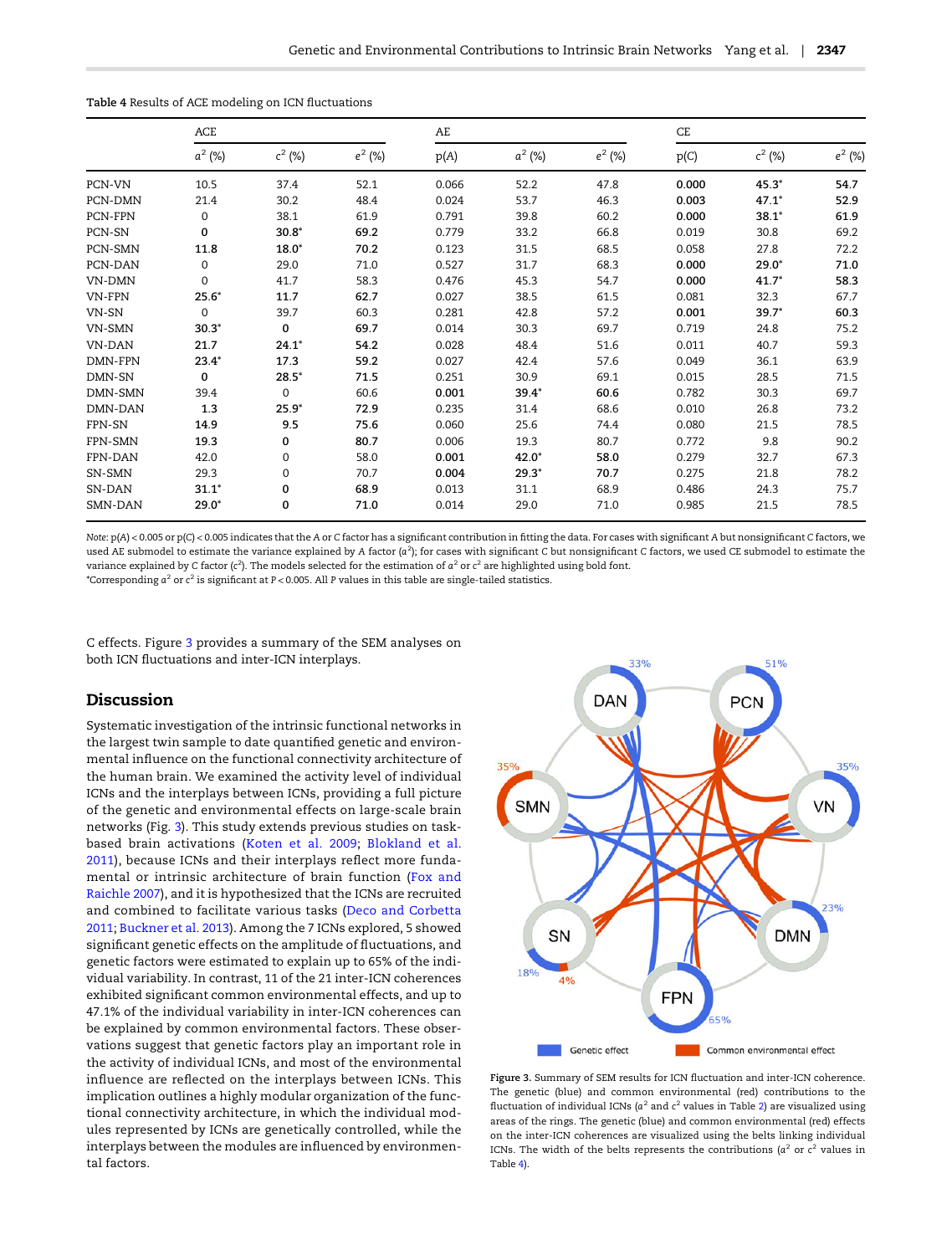|                | ACE         |           |           | AE    |           |           | CE    |           |           |
|----------------|-------------|-----------|-----------|-------|-----------|-----------|-------|-----------|-----------|
|                | $a^2$ (%)   | $c^2$ (%) | $e^2$ (%) | p(A)  | $a^2$ (%) | $e^2$ (%) | p(C)  | $c^2$ (%) | $e^2$ (%) |
| PCN-VN         | 10.5        | 37.4      | 52.1      | 0.066 | 52.2      | 47.8      | 0.000 | $45.3*$   | 54.7      |
| PCN-DMN        | 21.4        | 30.2      | 48.4      | 0.024 | 53.7      | 46.3      | 0.003 | $47.1*$   | 52.9      |
| PCN-FPN        | 0           | 38.1      | 61.9      | 0.791 | 39.8      | 60.2      | 0.000 | $38.1*$   | 61.9      |
| PCN-SN         | 0           | $30.8*$   | 69.2      | 0.779 | 33.2      | 66.8      | 0.019 | 30.8      | 69.2      |
| PCN-SMN        | 11.8        | $18.0*$   | 70.2      | 0.123 | 31.5      | 68.5      | 0.058 | 27.8      | 72.2      |
| PCN-DAN        | 0           | 29.0      | 71.0      | 0.527 | 31.7      | 68.3      | 0.000 | $29.0*$   | 71.0      |
| VN-DMN         | 0           | 41.7      | 58.3      | 0.476 | 45.3      | 54.7      | 0.000 | $41.7*$   | 58.3      |
| VN-FPN         | $25.6*$     | 11.7      | 62.7      | 0.027 | 38.5      | 61.5      | 0.081 | 32.3      | 67.7      |
| VN-SN          | $\Omega$    | 39.7      | 60.3      | 0.281 | 42.8      | 57.2      | 0.001 | $39.7*$   | 60.3      |
| VN-SMN         | $30.3*$     | 0         | 69.7      | 0.014 | 30.3      | 69.7      | 0.719 | 24.8      | 75.2      |
| VN-DAN         | 21.7        | $24.1*$   | 54.2      | 0.028 | 48.4      | 51.6      | 0.011 | 40.7      | 59.3      |
| DMN-FPN        | $23.4*$     | 17.3      | 59.2      | 0.027 | 42.4      | 57.6      | 0.049 | 36.1      | 63.9      |
| DMN-SN         | $\mathbf 0$ | $28.5*$   | 71.5      | 0.251 | 30.9      | 69.1      | 0.015 | 28.5      | 71.5      |
| DMN-SMN        | 39.4        | $\Omega$  | 60.6      | 0.001 | $39.4*$   | 60.6      | 0.782 | 30.3      | 69.7      |
| DMN-DAN        | 1.3         | $25.9*$   | 72.9      | 0.235 | 31.4      | 68.6      | 0.010 | 26.8      | 73.2      |
| FPN-SN         | 14.9        | 9.5       | 75.6      | 0.060 | 25.6      | 74.4      | 0.080 | 21.5      | 78.5      |
| FPN-SMN        | 19.3        | 0         | 80.7      | 0.006 | 19.3      | 80.7      | 0.772 | 9.8       | 90.2      |
| FPN-DAN        | 42.0        | 0         | 58.0      | 0.001 | $42.0*$   | 58.0      | 0.279 | 32.7      | 67.3      |
| SN-SMN         | 29.3        | 0         | 70.7      | 0.004 | $29.3*$   | 70.7      | 0.275 | 21.8      | 78.2      |
| SN-DAN         | $31.1*$     | 0         | 68.9      | 0.013 | 31.1      | 68.9      | 0.486 | 24.3      | 75.7      |
| <b>SMN-DAN</b> | $29.0*$     | 0         | 71.0      | 0.014 | 29.0      | 71.0      | 0.985 | 21.5      | 78.5      |

<span id="page-6-0"></span>Table 4 Results of ACE modeling on ICN fluctuations

Note: p(A) < 0.005 or p(C) < 0.005 indicates that the A or C factor has a significant contribution in fitting the data. For cases with significant A but nonsignificant C factors, we used AE submodel to estimate the variance explained by A factor ( $a^2$ ); for cases with significant C but nonsignificant C factors, we used CE submodel to estimate the variance explained by C factor (c<sup>2</sup>). The models selected for the estimation of  $a^2$  or c<sup>2</sup> are highlighted using bold font.

\*Corresponding  $a^2$  or  $c^2$  is significant at P < 0.005. All P values in this table are single-tailed statistics.

C effects. Figure 3 provides a summary of the SEM analyses on both ICN fluctuations and inter-ICN interplays.

## Discussion

Systematic investigation of the intrinsic functional networks in the largest twin sample to date quantified genetic and environmental influence on the functional connectivity architecture of the human brain. We examined the activity level of individual ICNs and the interplays between ICNs, providing a full picture of the genetic and environmental effects on large-scale brain networks (Fig. 3). This study extends previous studies on taskbased brain activations ([Koten et al. 2009;](#page-10-0) [Blokland et al.](#page-9-0) [2011](#page-9-0)), because ICNs and their interplays reflect more fundamental or intrinsic architecture of brain function [\(Fox and](#page-9-0) [Raichle 2007](#page-9-0)), and it is hypothesized that the ICNs are recruited and combined to facilitate various tasks [\(Deco and Corbetta](#page-9-0) [2011;](#page-9-0) [Buckner et al. 2013](#page-9-0)). Among the 7 ICNs explored, 5 showed significant genetic effects on the amplitude of fluctuations, and genetic factors were estimated to explain up to 65% of the individual variability. In contrast, 11 of the 21 inter-ICN coherences exhibited significant common environmental effects, and up to 47.1% of the individual variability in inter-ICN coherences can be explained by common environmental factors. These observations suggest that genetic factors play an important role in the activity of individual ICNs, and most of the environmental influence are reflected on the interplays between ICNs. This implication outlines a highly modular organization of the functional connectivity architecture, in which the individual modules represented by ICNs are genetically controlled, while the interplays between the modules are influenced by environmental factors.



Figure 3. Summary of SEM results for ICN fluctuation and inter-ICN coherence. The genetic (blue) and common environmental (red) contributions to the fluctuation of individual ICNs ( $a^2$  and  $c^2$  values in Table [2\)](#page-5-0) are visualized using areas of the rings. The genetic (blue) and common environmental (red) effects on the inter-ICN coherences are visualized using the belts linking individual ICNs. The width of the belts represents the contributions ( $a^2$  or  $c^2$  values in Table 4).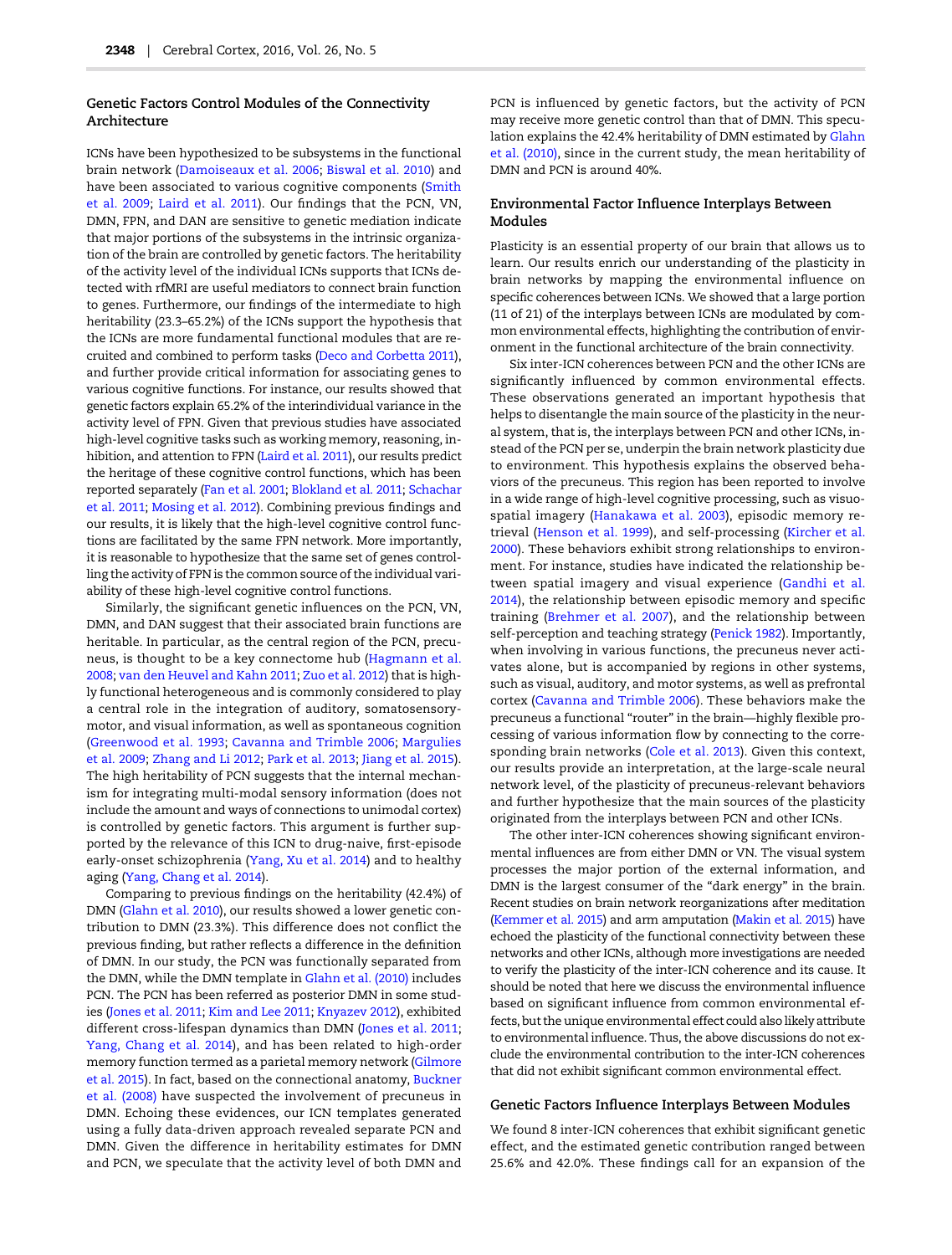## Genetic Factors Control Modules of the Connectivity Architecture

ICNs have been hypothesized to be subsystems in the functional brain network ([Damoiseaux et al. 2006](#page-9-0); [Biswal et al. 2010\)](#page-9-0) and have been associated to various cognitive components [\(Smith](#page-11-0) [et al. 2009;](#page-11-0) [Laird et al. 2011\)](#page-10-0). Our findings that the PCN, VN, DMN, FPN, and DAN are sensitive to genetic mediation indicate that major portions of the subsystems in the intrinsic organization of the brain are controlled by genetic factors. The heritability of the activity level of the individual ICNs supports that ICNs detected with rfMRI are useful mediators to connect brain function to genes. Furthermore, our findings of the intermediate to high heritability (23.3–65.2%) of the ICNs support the hypothesis that the ICNs are more fundamental functional modules that are recruited and combined to perform tasks [\(Deco and Corbetta 2011\)](#page-9-0), and further provide critical information for associating genes to various cognitive functions. For instance, our results showed that genetic factors explain 65.2% of the interindividual variance in the activity level of FPN. Given that previous studies have associated high-level cognitive tasks such as working memory, reasoning, inhibition, and attention to FPN ([Laird et al. 2011](#page-10-0)), our results predict the heritage of these cognitive control functions, which has been reported separately [\(Fan et al. 2001;](#page-9-0) [Blokland et al. 2011;](#page-9-0) [Schachar](#page-11-0) [et al. 2011](#page-11-0); [Mosing et al. 2012\)](#page-10-0). Combining previous findings and our results, it is likely that the high-level cognitive control functions are facilitated by the same FPN network. More importantly, it is reasonable to hypothesize that the same set of genes controlling the activity of FPN is the common source of the individual variability of these high-level cognitive control functions.

Similarly, the significant genetic influences on the PCN, VN, DMN, and DAN suggest that their associated brain functions are heritable. In particular, as the central region of the PCN, precuneus, is thought to be a key connectome hub ([Hagmann et al.](#page-10-0) [2008;](#page-10-0) [van den Heuvel and Kahn 2011](#page-11-0); [Zuo et al. 2012](#page-11-0)) that is highly functional heterogeneous and is commonly considered to play a central role in the integration of auditory, somatosensorymotor, and visual information, as well as spontaneous cognition [\(Greenwood et al. 1993](#page-10-0); [Cavanna and Trimble 2006](#page-9-0); [Margulies](#page-10-0) [et al. 2009;](#page-10-0) [Zhang and Li 2012](#page-11-0); [Park et al. 2013;](#page-11-0) [Jiang et al. 2015\)](#page-10-0). The high heritability of PCN suggests that the internal mechanism for integrating multi-modal sensory information (does not include the amount and ways of connections to unimodal cortex) is controlled by genetic factors. This argument is further supported by the relevance of this ICN to drug-naive, first-episode early-onset schizophrenia ([Yang, Xu et al. 2014\)](#page-11-0) and to healthy aging [\(Yang, Chang et al. 2014](#page-11-0)).

Comparing to previous findings on the heritability (42.4%) of DMN ([Glahn et al. 2010\)](#page-10-0), our results showed a lower genetic contribution to DMN (23.3%). This difference does not conflict the previous finding, but rather reflects a difference in the definition of DMN. In our study, the PCN was functionally separated from the DMN, while the DMN template in [Glahn et al. \(2010\)](#page-10-0) includes PCN. The PCN has been referred as posterior DMN in some studies [\(Jones et al. 2011](#page-10-0); [Kim and Lee 2011;](#page-10-0) [Knyazev 2012](#page-10-0)), exhibited different cross-lifespan dynamics than DMN ([Jones et al. 2011;](#page-10-0) [Yang, Chang et al. 2014](#page-11-0)), and has been related to high-order memory function termed as a parietal memory network ([Gilmore](#page-10-0) [et al. 2015](#page-10-0)). In fact, based on the connectional anatomy, [Buckner](#page-9-0) [et al. \(2008\)](#page-9-0) have suspected the involvement of precuneus in DMN. Echoing these evidences, our ICN templates generated using a fully data-driven approach revealed separate PCN and DMN. Given the difference in heritability estimates for DMN and PCN, we speculate that the activity level of both DMN and

PCN is influenced by genetic factors, but the activity of PCN may receive more genetic control than that of DMN. This speculation explains the 42.4% heritability of DMN estimated by [Glahn](#page-10-0) [et al. \(2010\),](#page-10-0) since in the current study, the mean heritability of DMN and PCN is around 40%.

## Environmental Factor Influence Interplays Between Modules

Plasticity is an essential property of our brain that allows us to learn. Our results enrich our understanding of the plasticity in brain networks by mapping the environmental influence on specific coherences between ICNs. We showed that a large portion (11 of 21) of the interplays between ICNs are modulated by common environmental effects, highlighting the contribution of environment in the functional architecture of the brain connectivity.

Six inter-ICN coherences between PCN and the other ICNs are significantly influenced by common environmental effects. These observations generated an important hypothesis that helps to disentangle the main source of the plasticity in the neural system, that is, the interplays between PCN and other ICNs, instead of the PCN per se, underpin the brain network plasticity due to environment. This hypothesis explains the observed behaviors of the precuneus. This region has been reported to involve in a wide range of high-level cognitive processing, such as visuospatial imagery ([Hanakawa et al. 2003\)](#page-10-0), episodic memory retrieval [\(Henson et al. 1999](#page-10-0)), and self-processing [\(Kircher et al.](#page-10-0) [2000\)](#page-10-0). These behaviors exhibit strong relationships to environment. For instance, studies have indicated the relationship between spatial imagery and visual experience ([Gandhi et al.](#page-9-0) [2014\)](#page-9-0), the relationship between episodic memory and specific training ([Brehmer et al. 2007\)](#page-9-0), and the relationship between self-perception and teaching strategy [\(Penick 1982\)](#page-11-0). Importantly, when involving in various functions, the precuneus never activates alone, but is accompanied by regions in other systems, such as visual, auditory, and motor systems, as well as prefrontal cortex ([Cavanna and Trimble 2006](#page-9-0)). These behaviors make the precuneus a functional "router" in the brain—highly flexible processing of various information flow by connecting to the corresponding brain networks [\(Cole et al. 2013\)](#page-9-0). Given this context, our results provide an interpretation, at the large-scale neural network level, of the plasticity of precuneus-relevant behaviors and further hypothesize that the main sources of the plasticity originated from the interplays between PCN and other ICNs.

The other inter-ICN coherences showing significant environmental influences are from either DMN or VN. The visual system processes the major portion of the external information, and DMN is the largest consumer of the "dark energy" in the brain. Recent studies on brain network reorganizations after meditation [\(Kemmer et al. 2015](#page-10-0)) and arm amputation [\(Makin et al. 2015\)](#page-10-0) have echoed the plasticity of the functional connectivity between these networks and other ICNs, although more investigations are needed to verify the plasticity of the inter-ICN coherence and its cause. It should be noted that here we discuss the environmental influence based on significant influence from common environmental effects, but the unique environmental effect could also likely attribute to environmental influence. Thus, the above discussions do not exclude the environmental contribution to the inter-ICN coherences that did not exhibit significant common environmental effect.

#### Genetic Factors Influence Interplays Between Modules

We found 8 inter-ICN coherences that exhibit significant genetic effect, and the estimated genetic contribution ranged between 25.6% and 42.0%. These findings call for an expansion of the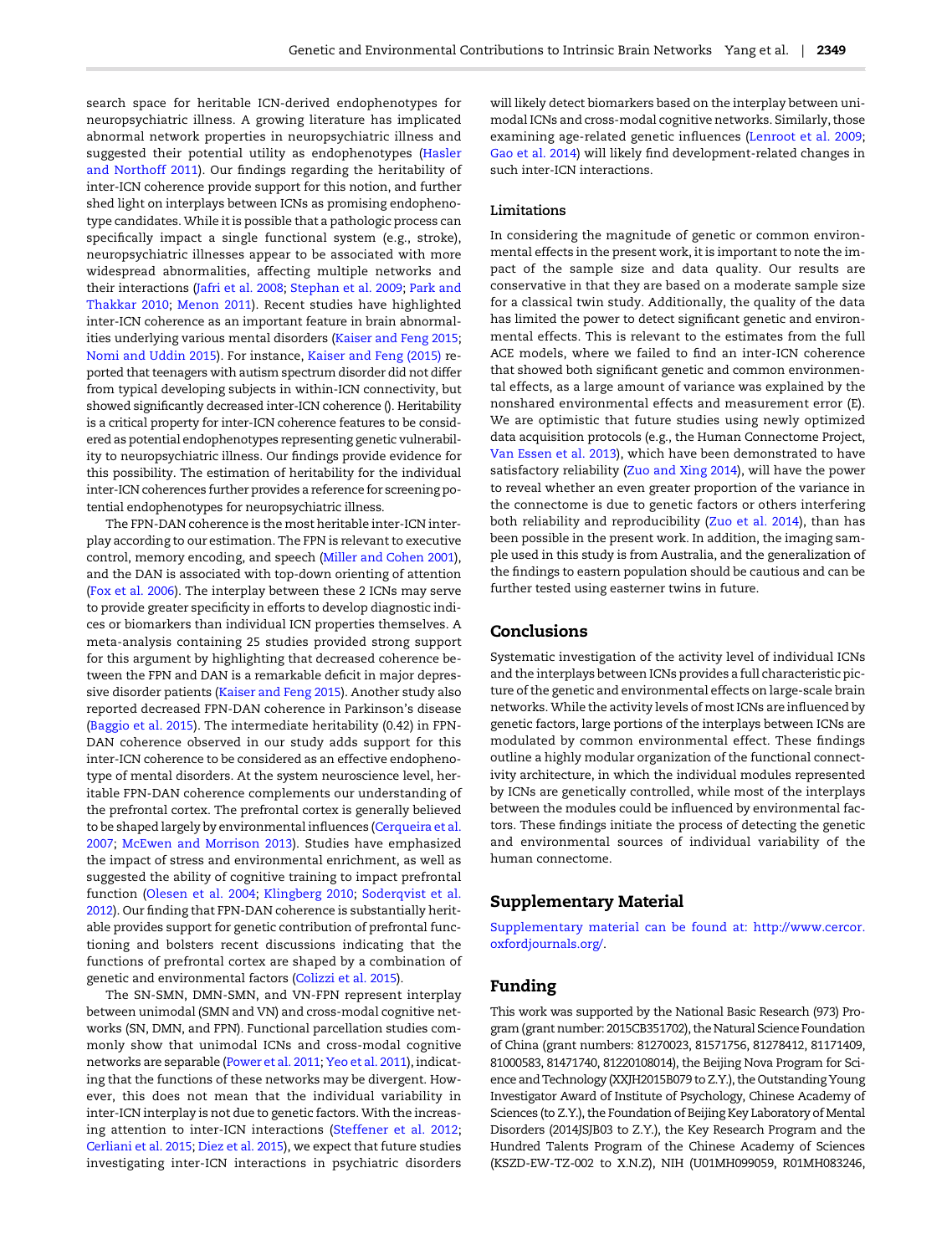search space for heritable ICN-derived endophenotypes for neuropsychiatric illness. A growing literature has implicated abnormal network properties in neuropsychiatric illness and suggested their potential utility as endophenotypes ([Hasler](#page-10-0) [and Northoff 2011\)](#page-10-0). Our findings regarding the heritability of inter-ICN coherence provide support for this notion, and further shed light on interplays between ICNs as promising endophenotype candidates. While it is possible that a pathologic process can specifically impact a single functional system (e.g., stroke), neuropsychiatric illnesses appear to be associated with more widespread abnormalities, affecting multiple networks and their interactions ([Jafri et al. 2008;](#page-10-0) [Stephan et al. 2009](#page-11-0); [Park and](#page-11-0) [Thakkar 2010](#page-11-0); [Menon 2011](#page-10-0)). Recent studies have highlighted inter-ICN coherence as an important feature in brain abnormalities underlying various mental disorders [\(Kaiser and Feng 2015;](#page-10-0) [Nomi and Uddin 2015](#page-11-0)). For instance, [Kaiser and Feng \(2015\)](#page-10-0) reported that teenagers with autism spectrum disorder did not differ from typical developing subjects in within-ICN connectivity, but showed significantly decreased inter-ICN coherence (). Heritability is a critical property for inter-ICN coherence features to be considered as potential endophenotypes representing genetic vulnerability to neuropsychiatric illness. Our findings provide evidence for this possibility. The estimation of heritability for the individual inter-ICN coherences further provides a reference for screening potential endophenotypes for neuropsychiatric illness.

The FPN-DAN coherence is the most heritable inter-ICN interplay according to our estimation. The FPN is relevant to executive control, memory encoding, and speech ([Miller and Cohen 2001\)](#page-10-0), and the DAN is associated with top-down orienting of attention [\(Fox et al. 2006\)](#page-9-0). The interplay between these 2 ICNs may serve to provide greater specificity in efforts to develop diagnostic indices or biomarkers than individual ICN properties themselves. A meta-analysis containing 25 studies provided strong support for this argument by highlighting that decreased coherence between the FPN and DAN is a remarkable deficit in major depressive disorder patients ([Kaiser and Feng 2015\)](#page-10-0). Another study also reported decreased FPN-DAN coherence in Parkinson's disease [\(Baggio et al. 2015\)](#page-9-0). The intermediate heritability (0.42) in FPN-DAN coherence observed in our study adds support for this inter-ICN coherence to be considered as an effective endophenotype of mental disorders. At the system neuroscience level, heritable FPN-DAN coherence complements our understanding of the prefrontal cortex. The prefrontal cortex is generally believed to be shaped largely by environmental influences ([Cerqueira et al.](#page-9-0) [2007;](#page-9-0) [McEwen and Morrison 2013](#page-10-0)). Studies have emphasized the impact of stress and environmental enrichment, as well as suggested the ability of cognitive training to impact prefrontal function [\(Olesen et al. 2004;](#page-11-0) [Klingberg 2010;](#page-10-0) [Soderqvist et al.](#page-11-0) [2012\)](#page-11-0). Our finding that FPN-DAN coherence is substantially heritable provides support for genetic contribution of prefrontal functioning and bolsters recent discussions indicating that the functions of prefrontal cortex are shaped by a combination of genetic and environmental factors ([Colizzi et al. 2015\)](#page-9-0).

The SN-SMN, DMN-SMN, and VN-FPN represent interplay between unimodal (SMN and VN) and cross-modal cognitive networks (SN, DMN, and FPN). Functional parcellation studies commonly show that unimodal ICNs and cross-modal cognitive networks are separable [\(Power et al. 2011;](#page-11-0) [Yeo et al. 2011\)](#page-11-0), indicating that the functions of these networks may be divergent. However, this does not mean that the individual variability in inter-ICN interplay is not due to genetic factors. With the increasing attention to inter-ICN interactions ([Steffener et al. 2012;](#page-11-0) [Cerliani et al. 2015;](#page-9-0) [Diez et al. 2015](#page-9-0)), we expect that future studies investigating inter-ICN interactions in psychiatric disorders

will likely detect biomarkers based on the interplay between unimodal ICNs and cross-modal cognitive networks. Similarly, those examining age-related genetic influences ([Lenroot et al. 2009;](#page-10-0) [Gao et al. 2014\)](#page-10-0) will likely find development-related changes in such inter-ICN interactions.

## Limitations

In considering the magnitude of genetic or common environmental effects in the present work, it is important to note the impact of the sample size and data quality. Our results are conservative in that they are based on a moderate sample size for a classical twin study. Additionally, the quality of the data has limited the power to detect significant genetic and environmental effects. This is relevant to the estimates from the full ACE models, where we failed to find an inter-ICN coherence that showed both significant genetic and common environmental effects, as a large amount of variance was explained by the nonshared environmental effects and measurement error (E). We are optimistic that future studies using newly optimized data acquisition protocols (e.g., the Human Connectome Project, [Van Essen et al. 2013\)](#page-11-0), which have been demonstrated to have satisfactory reliability [\(Zuo and Xing 2014](#page-11-0)), will have the power to reveal whether an even greater proportion of the variance in the connectome is due to genetic factors or others interfering both reliability and reproducibility [\(Zuo et al. 2014\)](#page-11-0), than has been possible in the present work. In addition, the imaging sample used in this study is from Australia, and the generalization of the findings to eastern population should be cautious and can be further tested using easterner twins in future.

## Conclusions

Systematic investigation of the activity level of individual ICNs and the interplays between ICNs provides a full characteristic picture of the genetic and environmental effects on large-scale brain networks. While the activity levels of most ICNs are influenced by genetic factors, large portions of the interplays between ICNs are modulated by common environmental effect. These findings outline a highly modular organization of the functional connectivity architecture, in which the individual modules represented by ICNs are genetically controlled, while most of the interplays between the modules could be influenced by environmental factors. These findings initiate the process of detecting the genetic and environmental sources of individual variability of the human connectome.

## Supplementary Material

[Supplementary material can be found at:](http://cercor.oxfordjournals.org/lookup/suppl/doi:10.1093/cercor/bhw027/-/DC1) [http://www.cercor.](http://www.cercor.oxfordjournals.org/) [oxfordjournals.org/](http://www.cercor.oxfordjournals.org/).

## Funding

This work was supported by the National Basic Research (973) Program (grant number: 2015CB351702), the Natural Science Foundation of China (grant numbers: 81270023, 81571756, 81278412, 81171409, 81000583, 81471740, 81220108014), the Beijing Nova Program for Science and Technology (XXJH2015B079 to Z.Y.), the Outstanding Young Investigator Award of Institute of Psychology, Chinese Academy of Sciences (to Z.Y.), the Foundation of Beijing Key Laboratory of Mental Disorders (2014JSJB03 to Z.Y.), the Key Research Program and the Hundred Talents Program of the Chinese Academy of Sciences (KSZD-EW-TZ-002 to X.N.Z), NIH (U01MH099059, R01MH083246,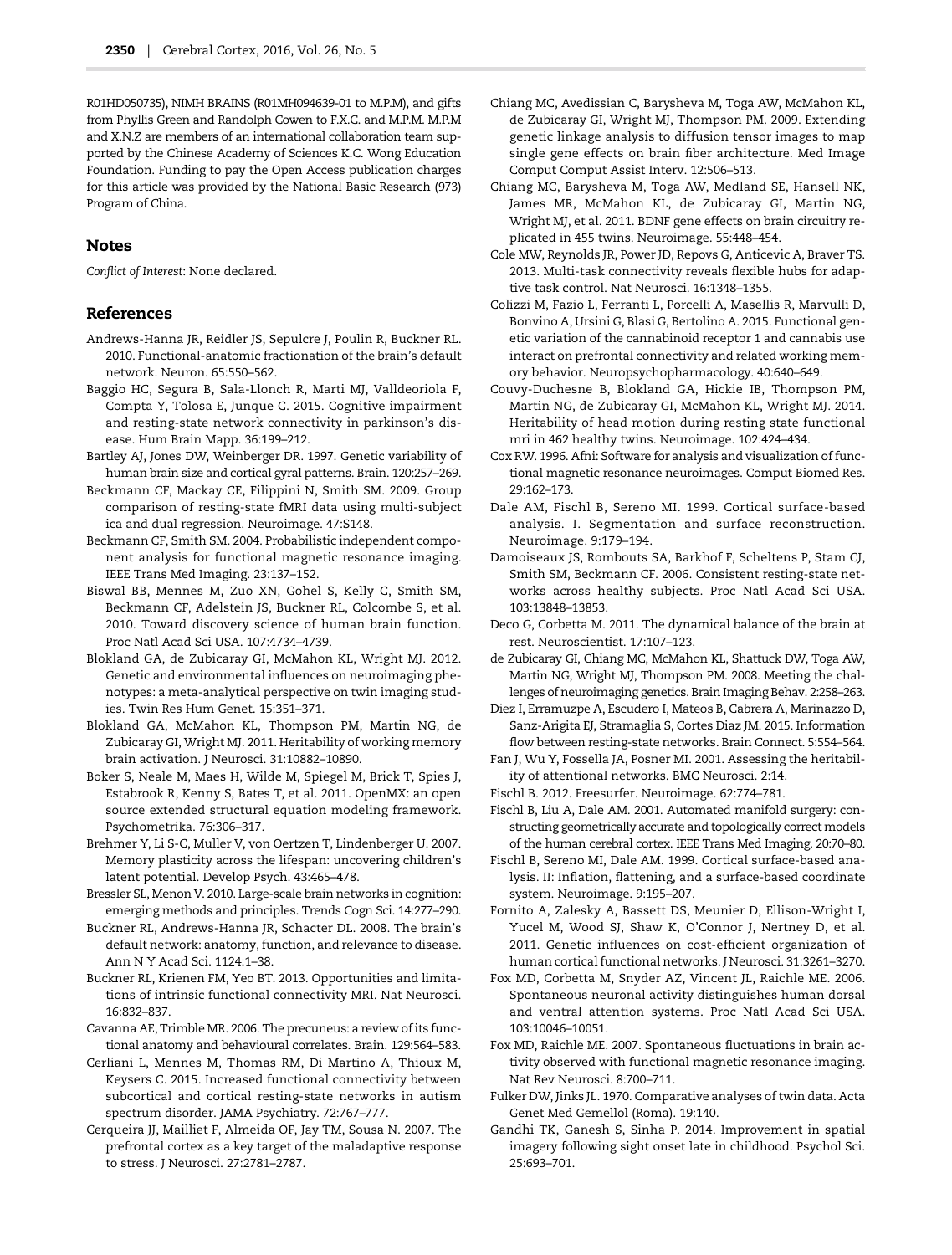<span id="page-9-0"></span>R01HD050735), NIMH BRAINS (R01MH094639-01 to M.P.M), and gifts from Phyllis Green and Randolph Cowen to F.X.C. and M.P.M. M.P.M and X.N.Z are members of an international collaboration team supported by the Chinese Academy of Sciences K.C. Wong Education Foundation. Funding to pay the Open Access publication charges for this article was provided by the National Basic Research (973) Program of China.

## Notes

Conflict of Interest: None declared.

## References

- Andrews-Hanna JR, Reidler JS, Sepulcre J, Poulin R, Buckner RL. 2010. Functional-anatomic fractionation of the brain's default network. Neuron. 65:550–562.
- Baggio HC, Segura B, Sala-Llonch R, Marti MJ, Valldeoriola F, Compta Y, Tolosa E, Junque C. 2015. Cognitive impairment and resting-state network connectivity in parkinson's disease. Hum Brain Mapp. 36:199–212.
- Bartley AJ, Jones DW, Weinberger DR. 1997. Genetic variability of human brain size and cortical gyral patterns. Brain. 120:257–269.
- Beckmann CF, Mackay CE, Filippini N, Smith SM. 2009. Group comparison of resting-state fMRI data using multi-subject ica and dual regression. Neuroimage. 47:S148.
- Beckmann CF, Smith SM. 2004. Probabilistic independent component analysis for functional magnetic resonance imaging. IEEE Trans Med Imaging. 23:137–152.
- Biswal BB, Mennes M, Zuo XN, Gohel S, Kelly C, Smith SM, Beckmann CF, Adelstein JS, Buckner RL, Colcombe S, et al. 2010. Toward discovery science of human brain function. Proc Natl Acad Sci USA. 107:4734–4739.
- Blokland GA, de Zubicaray GI, McMahon KL, Wright MJ. 2012. Genetic and environmental influences on neuroimaging phenotypes: a meta-analytical perspective on twin imaging studies. Twin Res Hum Genet. 15:351–371.
- Blokland GA, McMahon KL, Thompson PM, Martin NG, de Zubicaray GI, Wright MJ. 2011. Heritability of working memory brain activation. J Neurosci. 31:10882–10890.
- Boker S, Neale M, Maes H, Wilde M, Spiegel M, Brick T, Spies J, Estabrook R, Kenny S, Bates T, et al. 2011. OpenMX: an open source extended structural equation modeling framework. Psychometrika. 76:306–317.
- Brehmer Y, Li S-C, Muller V, von Oertzen T, Lindenberger U. 2007. Memory plasticity across the lifespan: uncovering children's latent potential. Develop Psych. 43:465–478.
- Bressler SL, Menon V. 2010. Large-scale brain networks in cognition: emerging methods and principles. Trends Cogn Sci. 14:277–290.
- Buckner RL, Andrews-Hanna JR, Schacter DL. 2008. The brain's default network: anatomy, function, and relevance to disease. Ann N Y Acad Sci. 1124:1–38.
- Buckner RL, Krienen FM, Yeo BT. 2013. Opportunities and limitations of intrinsic functional connectivity MRI. Nat Neurosci. 16:832–837.
- Cavanna AE, Trimble MR. 2006. The precuneus: a review of its functional anatomy and behavioural correlates. Brain. 129:564–583.
- Cerliani L, Mennes M, Thomas RM, Di Martino A, Thioux M, Keysers C. 2015. Increased functional connectivity between subcortical and cortical resting-state networks in autism spectrum disorder. JAMA Psychiatry. 72:767–777.
- Cerqueira JJ, Mailliet F, Almeida OF, Jay TM, Sousa N. 2007. The prefrontal cortex as a key target of the maladaptive response to stress. J Neurosci. 27:2781–2787.
- Chiang MC, Avedissian C, Barysheva M, Toga AW, McMahon KL, de Zubicaray GI, Wright MJ, Thompson PM. 2009. Extending genetic linkage analysis to diffusion tensor images to map single gene effects on brain fiber architecture. Med Image Comput Comput Assist Interv. 12:506–513.
- Chiang MC, Barysheva M, Toga AW, Medland SE, Hansell NK, James MR, McMahon KL, de Zubicaray GI, Martin NG, Wright MJ, et al. 2011. BDNF gene effects on brain circuitry replicated in 455 twins. Neuroimage. 55:448–454.
- Cole MW, Reynolds JR, Power JD, Repovs G, Anticevic A, Braver TS. 2013. Multi-task connectivity reveals flexible hubs for adaptive task control. Nat Neurosci. 16:1348–1355.
- Colizzi M, Fazio L, Ferranti L, Porcelli A, Masellis R, Marvulli D, Bonvino A, Ursini G, Blasi G, Bertolino A. 2015. Functional genetic variation of the cannabinoid receptor 1 and cannabis use interact on prefrontal connectivity and related working memory behavior. Neuropsychopharmacology. 40:640–649.
- Couvy-Duchesne B, Blokland GA, Hickie IB, Thompson PM, Martin NG, de Zubicaray GI, McMahon KL, Wright MJ. 2014. Heritability of head motion during resting state functional mri in 462 healthy twins. Neuroimage. 102:424–434.
- Cox RW. 1996. Afni: Software for analysis and visualization of functional magnetic resonance neuroimages. Comput Biomed Res. 29:162–173.
- Dale AM, Fischl B, Sereno MI. 1999. Cortical surface-based analysis. I. Segmentation and surface reconstruction. Neuroimage. 9:179–194.
- Damoiseaux JS, Rombouts SA, Barkhof F, Scheltens P, Stam CJ, Smith SM, Beckmann CF. 2006. Consistent resting-state networks across healthy subjects. Proc Natl Acad Sci USA. 103:13848–13853.
- Deco G, Corbetta M. 2011. The dynamical balance of the brain at rest. Neuroscientist. 17:107–123.
- de Zubicaray GI, Chiang MC, McMahon KL, Shattuck DW, Toga AW, Martin NG, Wright MJ, Thompson PM. 2008. Meeting the challenges of neuroimaging genetics. Brain Imaging Behav. 2:258–263.
- Diez I, Erramuzpe A, Escudero I, Mateos B, Cabrera A, Marinazzo D, Sanz-Arigita EJ, Stramaglia S, Cortes Diaz JM. 2015. Information flow between resting-state networks. Brain Connect. 5:554–564.
- Fan J, Wu Y, Fossella JA, Posner MI. 2001. Assessing the heritability of attentional networks. BMC Neurosci. 2:14.
- Fischl B. 2012. Freesurfer. Neuroimage. 62:774–781.
- Fischl B, Liu A, Dale AM. 2001. Automated manifold surgery: constructing geometrically accurate and topologically correct models of the human cerebral cortex. IEEE Trans Med Imaging. 20:70–80.
- Fischl B, Sereno MI, Dale AM. 1999. Cortical surface-based analysis. II: Inflation, flattening, and a surface-based coordinate system. Neuroimage. 9:195–207.
- Fornito A, Zalesky A, Bassett DS, Meunier D, Ellison-Wright I, Yucel M, Wood SJ, Shaw K, O'Connor J, Nertney D, et al. 2011. Genetic influences on cost-efficient organization of human cortical functional networks. J Neurosci. 31:3261–3270.
- Fox MD, Corbetta M, Snyder AZ, Vincent JL, Raichle ME. 2006. Spontaneous neuronal activity distinguishes human dorsal and ventral attention systems. Proc Natl Acad Sci USA. 103:10046–10051.
- Fox MD, Raichle ME. 2007. Spontaneous fluctuations in brain activity observed with functional magnetic resonance imaging. Nat Rev Neurosci. 8:700–711.
- Fulker DW, Jinks JL. 1970. Comparative analyses of twin data. Acta Genet Med Gemellol (Roma). 19:140.
- Gandhi TK, Ganesh S, Sinha P. 2014. Improvement in spatial imagery following sight onset late in childhood. Psychol Sci. 25:693–701.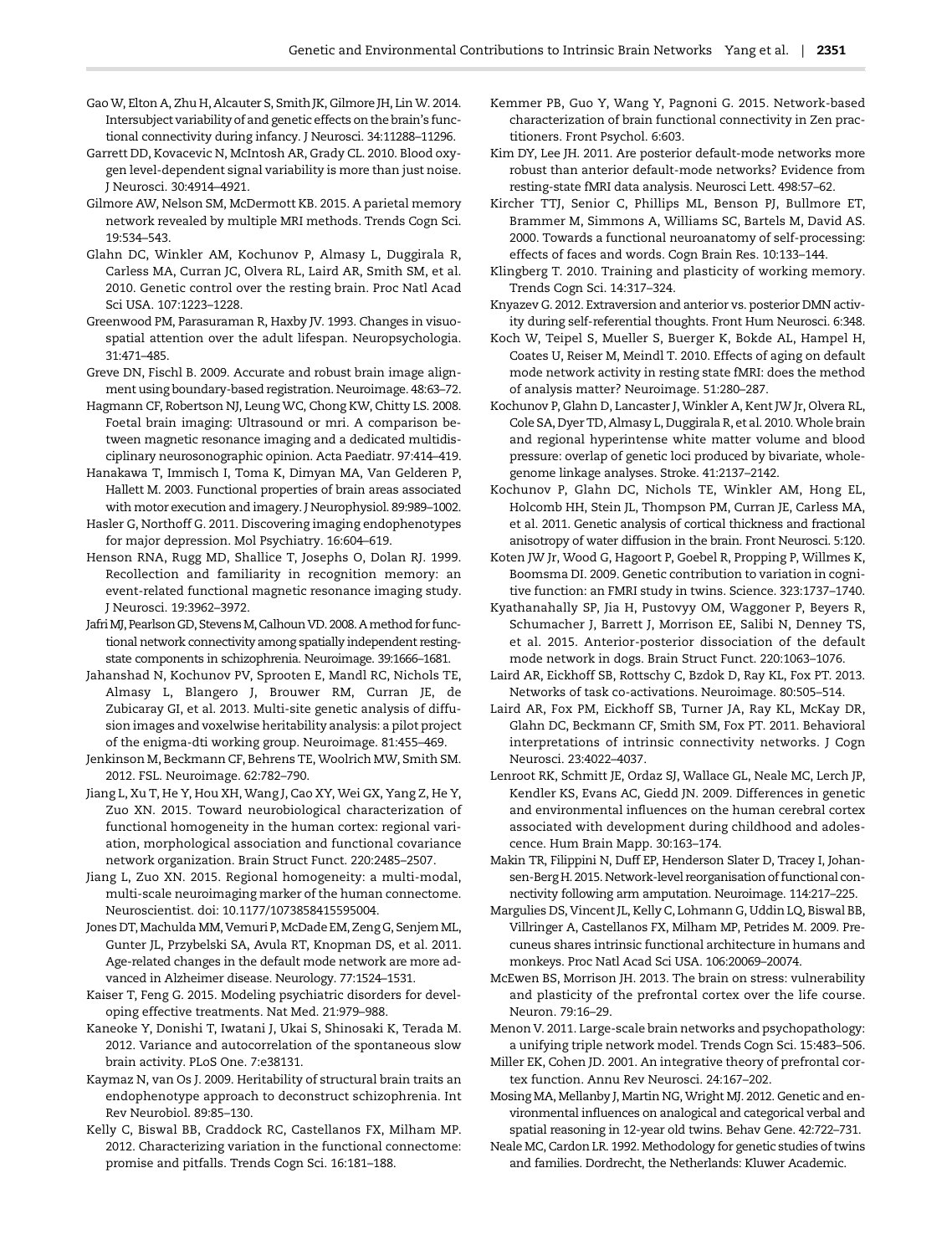- <span id="page-10-0"></span>GaoW, Elton A, Zhu H, Alcauter S, Smith JK, Gilmore JH, Lin W. 2014. Intersubject variability of and genetic effects on the brain's functional connectivity during infancy. J Neurosci. 34:11288–11296.
- Garrett DD, Kovacevic N, McIntosh AR, Grady CL. 2010. Blood oxygen level-dependent signal variability is more than just noise. J Neurosci. 30:4914–4921.
- Gilmore AW, Nelson SM, McDermott KB. 2015. A parietal memory network revealed by multiple MRI methods. Trends Cogn Sci. 19:534–543.
- Glahn DC, Winkler AM, Kochunov P, Almasy L, Duggirala R, Carless MA, Curran JC, Olvera RL, Laird AR, Smith SM, et al. 2010. Genetic control over the resting brain. Proc Natl Acad Sci USA. 107:1223–1228.
- Greenwood PM, Parasuraman R, Haxby JV. 1993. Changes in visuospatial attention over the adult lifespan. Neuropsychologia. 31:471–485.
- Greve DN, Fischl B. 2009. Accurate and robust brain image alignment using boundary-based registration. Neuroimage. 48:63–72.
- Hagmann CF, Robertson NJ, Leung WC, Chong KW, Chitty LS. 2008. Foetal brain imaging: Ultrasound or mri. A comparison between magnetic resonance imaging and a dedicated multidisciplinary neurosonographic opinion. Acta Paediatr. 97:414–419.
- Hanakawa T, Immisch I, Toma K, Dimyan MA, Van Gelderen P, Hallett M. 2003. Functional properties of brain areas associated with motor execution and imagery. J Neurophysiol. 89:989–1002.
- Hasler G, Northoff G. 2011. Discovering imaging endophenotypes for major depression. Mol Psychiatry. 16:604–619.
- Henson RNA, Rugg MD, Shallice T, Josephs O, Dolan RJ. 1999. Recollection and familiarity in recognition memory: an event-related functional magnetic resonance imaging study. J Neurosci. 19:3962–3972.
- Jafri MJ, Pearlson GD, Stevens M, Calhoun VD. 2008. A method for functional network connectivity among spatially independent restingstate components in schizophrenia. Neuroimage. 39:1666–1681.
- Jahanshad N, Kochunov PV, Sprooten E, Mandl RC, Nichols TE, Almasy L, Blangero J, Brouwer RM, Curran JE, de Zubicaray GI, et al. 2013. Multi-site genetic analysis of diffusion images and voxelwise heritability analysis: a pilot project of the enigma-dti working group. Neuroimage. 81:455–469.
- Jenkinson M, Beckmann CF, Behrens TE, Woolrich MW, Smith SM. 2012. FSL. Neuroimage. 62:782–790.
- Jiang L, Xu T, He Y, Hou XH, Wang J, Cao XY, Wei GX, Yang Z, He Y, Zuo XN. 2015. Toward neurobiological characterization of functional homogeneity in the human cortex: regional variation, morphological association and functional covariance network organization. Brain Struct Funct. 220:2485–2507.
- Jiang L, Zuo XN. 2015. Regional homogeneity: a multi-modal, multi-scale neuroimaging marker of the human connectome. Neuroscientist. doi: 10.1177/1073858415595004.
- Jones DT, Machulda MM, Vemuri P, McDade EM, Zeng G, Senjem ML, Gunter JL, Przybelski SA, Avula RT, Knopman DS, et al. 2011. Age-related changes in the default mode network are more advanced in Alzheimer disease. Neurology. 77:1524–1531.
- Kaiser T, Feng G. 2015. Modeling psychiatric disorders for developing effective treatments. Nat Med. 21:979–988.
- Kaneoke Y, Donishi T, Iwatani J, Ukai S, Shinosaki K, Terada M. 2012. Variance and autocorrelation of the spontaneous slow brain activity. PLoS One. 7:e38131.
- Kaymaz N, van Os J. 2009. Heritability of structural brain traits an endophenotype approach to deconstruct schizophrenia. Int Rev Neurobiol. 89:85–130.
- Kelly C, Biswal BB, Craddock RC, Castellanos FX, Milham MP. 2012. Characterizing variation in the functional connectome: promise and pitfalls. Trends Cogn Sci. 16:181–188.
- Kemmer PB, Guo Y, Wang Y, Pagnoni G. 2015. Network-based characterization of brain functional connectivity in Zen practitioners. Front Psychol. 6:603.
- Kim DY, Lee JH. 2011. Are posterior default-mode networks more robust than anterior default-mode networks? Evidence from resting-state fMRI data analysis. Neurosci Lett. 498:57–62.
- Kircher TTJ, Senior C, Phillips ML, Benson PJ, Bullmore ET, Brammer M, Simmons A, Williams SC, Bartels M, David AS. 2000. Towards a functional neuroanatomy of self-processing: effects of faces and words. Cogn Brain Res. 10:133–144.
- Klingberg T. 2010. Training and plasticity of working memory. Trends Cogn Sci. 14:317–324.
- Knyazev G. 2012. Extraversion and anterior vs. posterior DMN activity during self-referential thoughts. Front Hum Neurosci. 6:348.
- Koch W, Teipel S, Mueller S, Buerger K, Bokde AL, Hampel H, Coates U, Reiser M, Meindl T. 2010. Effects of aging on default mode network activity in resting state fMRI: does the method of analysis matter? Neuroimage. 51:280–287.
- Kochunov P, Glahn D, Lancaster J, Winkler A, Kent JW Jr, Olvera RL, Cole SA, Dyer TD, Almasy L, Duggirala R, et al. 2010.Whole brain and regional hyperintense white matter volume and blood pressure: overlap of genetic loci produced by bivariate, wholegenome linkage analyses. Stroke. 41:2137–2142.
- Kochunov P, Glahn DC, Nichols TE, Winkler AM, Hong EL, Holcomb HH, Stein JL, Thompson PM, Curran JE, Carless MA, et al. 2011. Genetic analysis of cortical thickness and fractional anisotropy of water diffusion in the brain. Front Neurosci. 5:120.
- Koten JW Jr, Wood G, Hagoort P, Goebel R, Propping P, Willmes K, Boomsma DI. 2009. Genetic contribution to variation in cognitive function: an FMRI study in twins. Science. 323:1737–1740.
- Kyathanahally SP, Jia H, Pustovyy OM, Waggoner P, Beyers R, Schumacher J, Barrett J, Morrison EE, Salibi N, Denney TS, et al. 2015. Anterior-posterior dissociation of the default mode network in dogs. Brain Struct Funct. 220:1063–1076.
- Laird AR, Eickhoff SB, Rottschy C, Bzdok D, Ray KL, Fox PT. 2013. Networks of task co-activations. Neuroimage. 80:505–514.
- Laird AR, Fox PM, Eickhoff SB, Turner JA, Ray KL, McKay DR, Glahn DC, Beckmann CF, Smith SM, Fox PT. 2011. Behavioral interpretations of intrinsic connectivity networks. J Cogn Neurosci. 23:4022–4037.
- Lenroot RK, Schmitt JE, Ordaz SJ, Wallace GL, Neale MC, Lerch JP, Kendler KS, Evans AC, Giedd JN. 2009. Differences in genetic and environmental influences on the human cerebral cortex associated with development during childhood and adolescence. Hum Brain Mapp. 30:163–174.
- Makin TR, Filippini N, Duff EP, Henderson Slater D, Tracey I, Johansen-Berg H. 2015. Network-level reorganisation of functional connectivity following arm amputation. Neuroimage. 114:217–225.
- Margulies DS, Vincent JL, Kelly C, Lohmann G, Uddin LQ, Biswal BB, Villringer A, Castellanos FX, Milham MP, Petrides M. 2009. Precuneus shares intrinsic functional architecture in humans and monkeys. Proc Natl Acad Sci USA. 106:20069–20074.
- McEwen BS, Morrison JH. 2013. The brain on stress: vulnerability and plasticity of the prefrontal cortex over the life course. Neuron. 79:16–29.
- Menon V. 2011. Large-scale brain networks and psychopathology: a unifying triple network model. Trends Cogn Sci. 15:483–506.
- Miller EK, Cohen JD. 2001. An integrative theory of prefrontal cortex function. Annu Rev Neurosci. 24:167–202.
- Mosing MA, Mellanby J, Martin NG, Wright MJ. 2012. Genetic and environmental influences on analogical and categorical verbal and spatial reasoning in 12-year old twins. Behav Gene. 42:722–731.
- Neale MC, Cardon LR. 1992. Methodology for genetic studies of twins and families. Dordrecht, the Netherlands: Kluwer Academic.